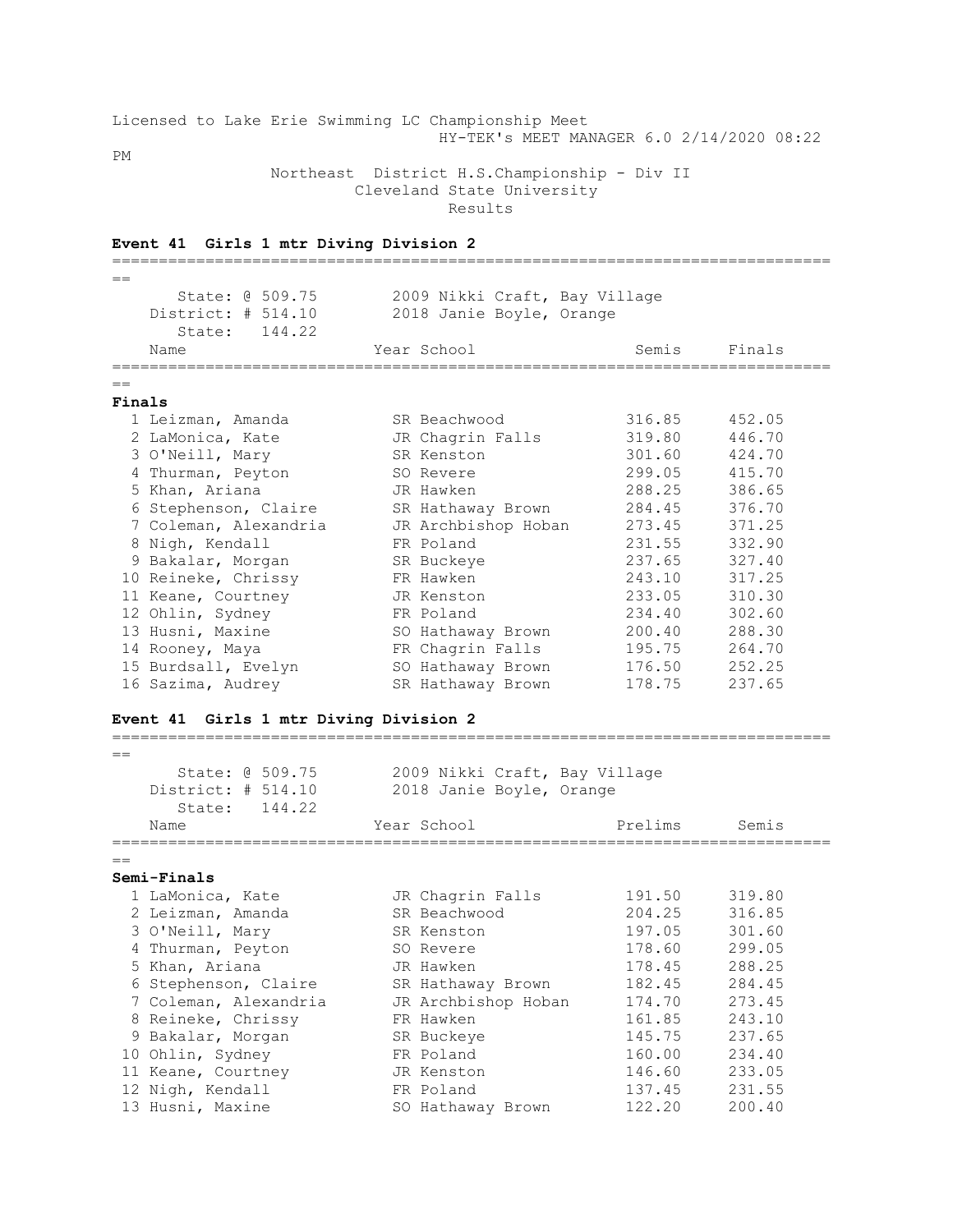|           |                                              |  |  |  |  | Licensed to Lake Erie Swimming LC Championship Meet |  |  |                                           |  |
|-----------|----------------------------------------------|--|--|--|--|-----------------------------------------------------|--|--|-------------------------------------------|--|
|           |                                              |  |  |  |  |                                                     |  |  | HY-TEK's MEET MANAGER 6.0 2/14/2020 08:22 |  |
| <b>PM</b> |                                              |  |  |  |  |                                                     |  |  |                                           |  |
|           | Northeast District H.S.Championship - Div II |  |  |  |  |                                                     |  |  |                                           |  |
|           | Cleveland State University                   |  |  |  |  |                                                     |  |  |                                           |  |

Results

|                | Event 41 Girls 1 mtr Diving Division 2                                                              |                                                           |         |        |
|----------------|-----------------------------------------------------------------------------------------------------|-----------------------------------------------------------|---------|--------|
| $=$            |                                                                                                     |                                                           |         |        |
|                | State: @ 509.75                                                                                     | 2009 Nikki Craft, Bay Village                             |         |        |
|                | District: # 514.10                                                                                  | 2018 Janie Boyle, Orange                                  |         |        |
|                | 144.22<br>State:                                                                                    |                                                           |         |        |
|                | Name                                                                                                | Year School                                               | Semis   | Finals |
|                |                                                                                                     |                                                           |         |        |
| $==$<br>Finals |                                                                                                     |                                                           |         |        |
|                | 1 Leizman, Amanda                                                                                   | SR Beachwood                                              | 316.85  | 452.05 |
|                | 2 LaMonica, Kate                                                                                    | JR Chagrin Falls                                          | 319.80  | 446.70 |
|                | 3 O'Neill, Mary                                                                                     | SR Kenston                                                | 301.60  | 424.70 |
|                |                                                                                                     |                                                           | 299.05  | 415.70 |
|                | 4 Thurman, Peyton                                                                                   | SO Revere                                                 |         |        |
|                | 5 Khan, Ariana                                                                                      | JR Hawken                                                 | 288.25  | 386.65 |
|                | 6 Stephenson, Claire                                                                                | SR Hathaway Brown                                         | 284.45  | 376.70 |
|                | 7 Coleman, Alexandria                                                                               | JR Archbishop Hoban                                       | 273.45  | 371.25 |
|                | 8 Nigh, Kendall                                                                                     | FR Poland                                                 | 231.55  | 332.90 |
|                | 9 Bakalar, Morgan                                                                                   | SR Buckeye                                                | 237.65  | 327.40 |
|                | 10 Reineke, Chrissy                                                                                 | FR Hawken                                                 | 243.10  | 317.25 |
|                | 11 Keane, Courtney                                                                                  | JR Kenston                                                | 233.05  | 310.30 |
|                | 12 Ohlin, Sydney                                                                                    | FR Poland                                                 | 234.40  | 302.60 |
|                | 13 Husni, Maxine                                                                                    | SO Hathaway Brown                                         | 200.40  | 288.30 |
|                | 14 Rooney, Maya                                                                                     | FR Chagrin Falls                                          | 195.75  | 264.70 |
|                | 15 Burdsall, Evelyn                                                                                 | SO Hathaway Brown                                         | 176.50  | 252.25 |
|                | 16 Sazima, Audrey                                                                                   | SR Hathaway Brown                                         | 178.75  | 237.65 |
| $==$           | Event 41 Girls 1 mtr Diving Division 2<br>State: @ 509.75<br>District: # 514.10<br>144.22<br>State: | 2009 Nikki Craft, Bay Village<br>2018 Janie Boyle, Orange |         |        |
|                | Name                                                                                                | Year School                                               | Prelims | Semis  |
|                |                                                                                                     |                                                           |         |        |
|                | Semi-Finals                                                                                         |                                                           |         |        |
|                | 1 LaMonica, Kate                                                                                    | JR Chagrin Falls                                          | 191.50  | 319.80 |
|                | 2 Leizman, Amanda                                                                                   | SR Beachwood                                              | 204.25  | 316.85 |
|                |                                                                                                     |                                                           | 197.05  |        |
|                | 3 O'Neill, Mary                                                                                     | SR Kenston                                                |         | 301.60 |
|                | 4 Thurman, Peyton                                                                                   | SO Revere                                                 | 178.60  | 299.05 |
|                | 5 Khan, Ariana                                                                                      | JR Hawken                                                 | 178.45  | 288.25 |
|                | 6 Stephenson, Claire                                                                                | SR Hathaway Brown                                         | 182.45  | 284.45 |
|                | 7 Coleman, Alexandria                                                                               | JR Archbishop Hoban                                       | 174.70  | 273.45 |
|                | 8 Reineke, Chrissy                                                                                  | FR Hawken                                                 | 161.85  | 243.10 |
|                | 9 Bakalar, Morgan                                                                                   | SR Buckeye                                                | 145.75  | 237.65 |
|                | 10 Ohlin, Sydney                                                                                    | FR Poland                                                 | 160.00  | 234.40 |
|                | 11 Keane, Courtney                                                                                  | JR Kenston                                                | 146.60  | 233.05 |
|                | 12 Nigh, Kendall                                                                                    | FR Poland                                                 | 137.45  | 231.55 |
|                | 13 Husni, Maxine                                                                                    | SO Hathaway Brown                                         | 122.20  | 200.40 |
|                |                                                                                                     |                                                           |         |        |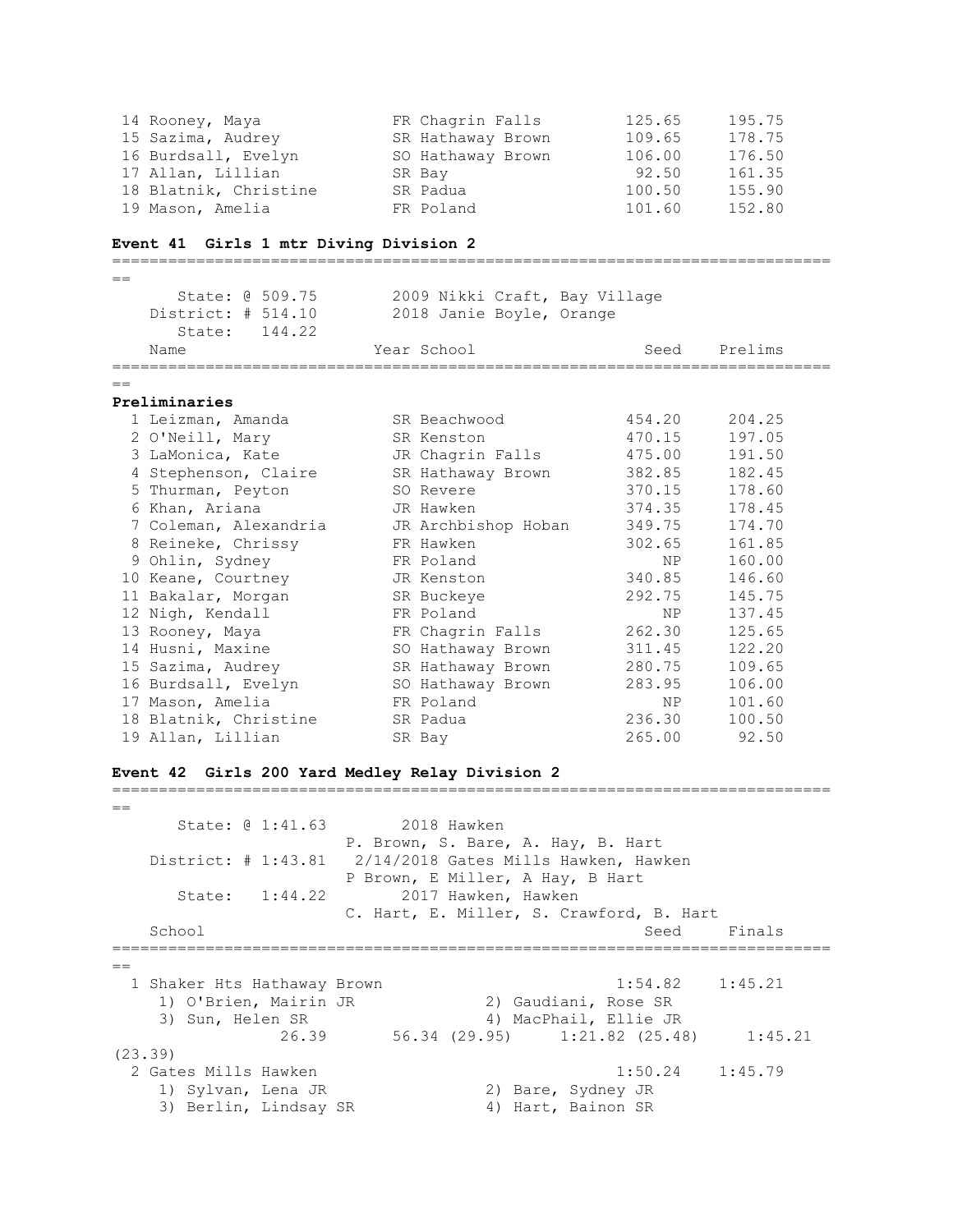| 14 Rooney, Maya       | FR Chagrin Falls  | 125.65 | 195.75 |
|-----------------------|-------------------|--------|--------|
| 15 Sazima, Audrey     | SR Hathaway Brown | 109.65 | 178.75 |
| 16 Burdsall, Evelyn   | SO Hathaway Brown | 106.00 | 176.50 |
| 17 Allan, Lillian     | SR Bay            | 92.50  | 161.35 |
| 18 Blatnik, Christine | SR Padua          | 100.50 | 155.90 |
| 19 Mason, Amelia      | FR Poland         | 101.60 | 152.80 |

# **Event 41 Girls 1 mtr Diving Division 2**

| $=$ |                       |                               |        |         |
|-----|-----------------------|-------------------------------|--------|---------|
|     | State: 0 509.75       | 2009 Nikki Craft, Bay Village |        |         |
|     | District: # 514.10    | 2018 Janie Boyle, Orange      |        |         |
|     | 144.22<br>State:      |                               |        |         |
|     | Name                  | Year School                   | Seed   | Prelims |
| $=$ |                       |                               |        |         |
|     | Preliminaries         |                               |        |         |
|     | 1 Leizman, Amanda     | SR Beachwood                  | 454.20 | 204.25  |
|     | 2 O'Neill, Mary       | SR Kenston                    | 470.15 | 197.05  |
|     |                       |                               | 475.00 | 191.50  |
|     | 3 LaMonica, Kate      | JR Chagrin Falls              |        |         |
|     | 4 Stephenson, Claire  | SR Hathaway Brown             | 382.85 | 182.45  |
|     | 5 Thurman, Peyton     | SO Revere                     | 370.15 | 178.60  |
|     | 6 Khan, Ariana        | JR Hawken                     | 374.35 | 178.45  |
|     | 7 Coleman, Alexandria | JR Archbishop Hoban           | 349.75 | 174.70  |
|     | 8 Reineke, Chrissy    | FR Hawken                     | 302.65 | 161.85  |
|     | 9 Ohlin, Sydney       | FR Poland                     | NP     | 160.00  |
|     | 10 Keane, Courtney    | JR Kenston                    | 340.85 | 146.60  |
|     | 11 Bakalar, Morgan    | SR Buckeye                    | 292.75 | 145.75  |
|     | 12 Nigh, Kendall      | FR Poland                     | NP     | 137.45  |
|     | 13 Rooney, Maya       | FR Chagrin Falls              | 262.30 | 125.65  |
|     | 14 Husni, Maxine      | SO Hathaway Brown             | 311.45 | 122.20  |
|     | 15 Sazima, Audrey     | SR Hathaway Brown             | 280.75 | 109.65  |
|     |                       |                               | 283.95 | 106.00  |
|     | 16 Burdsall, Evelyn   | SO Hathaway Brown             |        |         |
|     | 17 Mason, Amelia      | FR Poland                     | NP     | 101.60  |
|     | 18 Blatnik, Christine | SR Padua                      | 236.30 | 100.50  |
|     | 19 Allan, Lillian     | SR Bay                        | 265.00 | 92.50   |

# **Event 42 Girls 200 Yard Medley Relay Division 2**

|     | State: 0 1:41.63            | 2018 Hawken                                                                        |  |
|-----|-----------------------------|------------------------------------------------------------------------------------|--|
|     |                             | P. Brown, S. Bare, A. Hay, B. Hart                                                 |  |
|     |                             | District: $\#$ 1:43.81 $\frac{2}{14}/\frac{2018}{2018}$ Gates Mills Hawken, Hawken |  |
|     |                             | P Brown, E Miller, A Hay, B Hart                                                   |  |
|     | State: 1:44.22              | 2017 Hawken, Hawken                                                                |  |
|     |                             | C. Hart, E. Miller, S. Crawford, B. Hart                                           |  |
|     | School                      | Seed<br>Finals                                                                     |  |
|     |                             |                                                                                    |  |
| $=$ |                             |                                                                                    |  |
|     |                             |                                                                                    |  |
|     | 1 Shaker Hts Hathaway Brown | $1:54.82$ $1:45.21$                                                                |  |
|     | 1) O'Brien, Mairin JR       | 2) Gaudiani, Rose SR                                                               |  |
|     | 3) Sun, Helen SR            | 4) MacPhail, Ellie JR                                                              |  |
|     | 26.39                       | 56.34 (29.95) 1:21.82 (25.48)<br>1:45.21                                           |  |
|     | (23.39)                     |                                                                                    |  |
|     | 2 Gates Mills Hawken        | $1:50.24$ $1:45.79$                                                                |  |
|     | 1) Sylvan, Lena JR          | 2) Bare, Sydney JR                                                                 |  |
|     | 3) Berlin, Lindsay SR       | 4) Hart, Bainon SR                                                                 |  |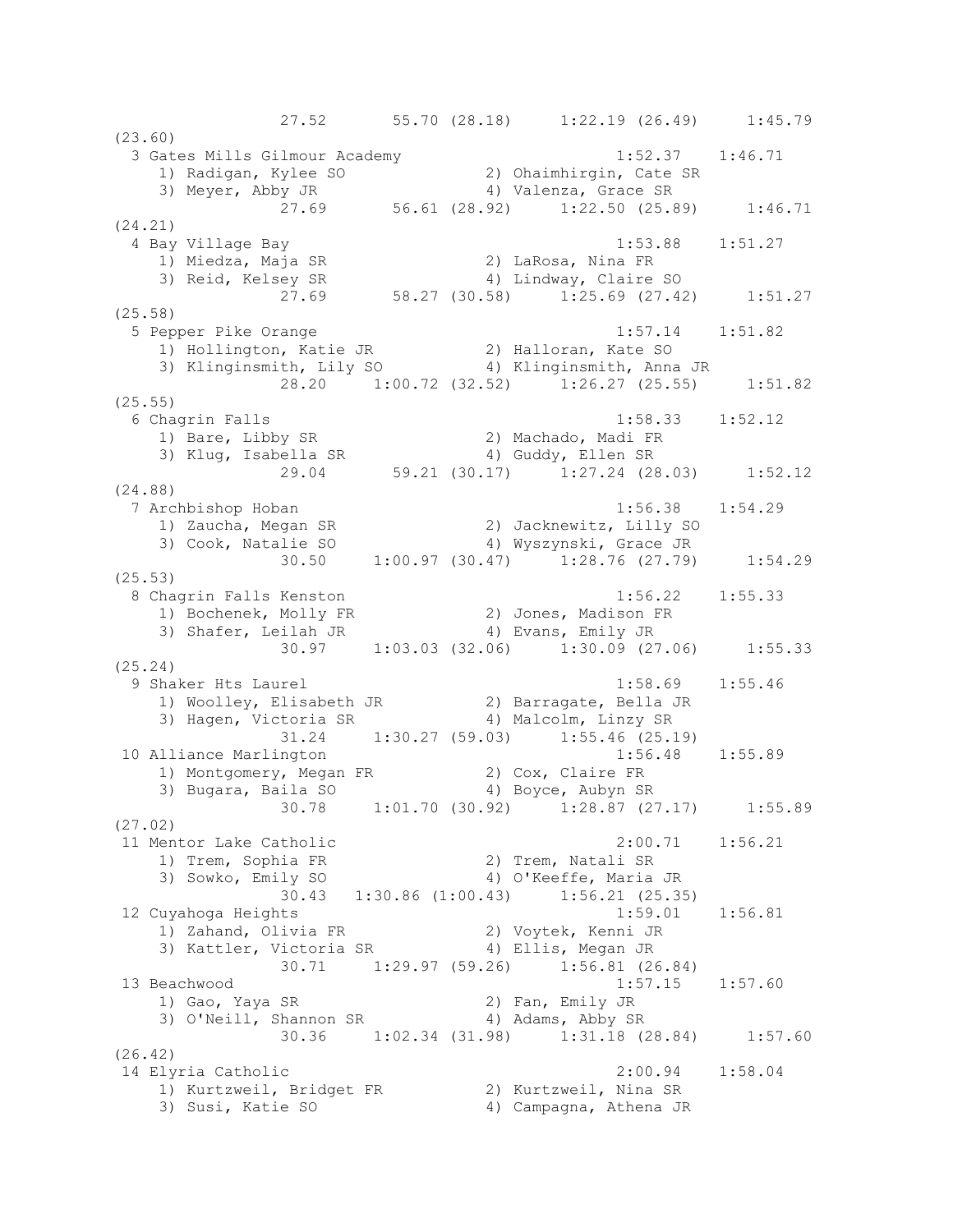27.52 55.70 (28.18) 1:22.19 (26.49) 1:45.79 (23.60) 3 Gates Mills Gilmour Academy 1:52.37 1:46.71 1) Radigan, Kylee SO 2) Ohaimhirgin, Cate SR 3) Meyer, Abby JR 4) Valenza, Grace SR 27.69 56.61 (28.92) 1:22.50 (25.89) 1:46.71 (24.21) 4 Bay Village Bay 1:53.88 1:51.27 1) Miedza, Maja SR 2) LaRosa, Nina FR 3) Reid, Kelsey SR 4) Lindway, Claire SO 27.69 58.27 (30.58) 1:25.69 (27.42) 1:51.27 (25.58) 5 Pepper Pike Orange 1:57.14 1:51.82 1) Hollington, Katie JR 2) Halloran, Kate SO 3) Klinginsmith, Lily SO 4) Klinginsmith, Anna JR 28.20 1:00.72 (32.52) 1:26.27 (25.55) 1:51.82 (25.55) 6 Chagrin Falls 1:58.33 1:52.12 1) Bare, Libby SR 2) Machado, Madi FR 3) Klug, Isabella SR 4) Guddy, Ellen SR 29.04 59.21 (30.17) 1:27.24 (28.03) 1:52.12 (24.88) 7 Archbishop Hoban 1:56.38 1:54.29 1) Zaucha, Megan SR 2) Jacknewitz, Lilly SO 3) Cook, Natalie SO 4) Wyszynski, Grace JR 30.50 1:00.97 (30.47) 1:28.76 (27.79) 1:54.29 (25.53) 8 Chagrin Falls Kenston 1:56.22 1:55.33 1) Bochenek, Molly FR 2) Jones, Madison FR 3) Shafer, Leilah JR (4) Evans, Emily JR 30.97 1:03.03 (32.06) 1:30.09 (27.06) 1:55.33 (25.24) 9 Shaker Hts Laurel 1:58.69 1:55.46 1) Woolley, Elisabeth JR 2) Barragate, Bella JR 3) Hagen, Victoria SR 4) Malcolm, Linzy SR 31.24 1:30.27 (59.03) 1:55.46 (25.19)<br>arlington 1:56.48 1:55.89 10 Alliance Marlington 1) Montgomery, Megan FR 2) Cox, Claire FR 3) Bugara, Baila SO 4) Boyce, Aubyn SR 30.78 1:01.70 (30.92) 1:28.87 (27.17) 1:55.89 (27.02) 11 Mentor Lake Catholic 2:00.71 1:56.21 1) Trem, Sophia FR 2) Trem, Natali SR 3) Sowko, Emily SO 4) O'Keeffe, Maria JR 30.43 1:30.86 (1:00.43) 1:56.21 (25.35) 12 Cuyahoga Heights 1:59.01 1:56.81 1) Zahand, Olivia FR 2) Voytek, Kenni JR 3) Kattler, Victoria SR (4) Ellis, Megan JR 30.71 1:29.97 (59.26) 1:56.81 (26.84) 13 Beachwood 1:57.15 1:57.60<br>1) Gao, Yaya SR 2) Fan, Emily JR 1) Gao, Yaya SR 2) Fan, Emily JR 3) O'Neill, Shannon SR 4) Adams, Abby SR 30.36 1:02.34 (31.98) 1:31.18 (28.84) 1:57.60 (26.42) 14 Elyria Catholic 2:00.94 1:58.04 1) Kurtzweil, Bridget FR 2) Kurtzweil, Nina SR 3) Susi, Katie SO 4) Campagna, Athena JR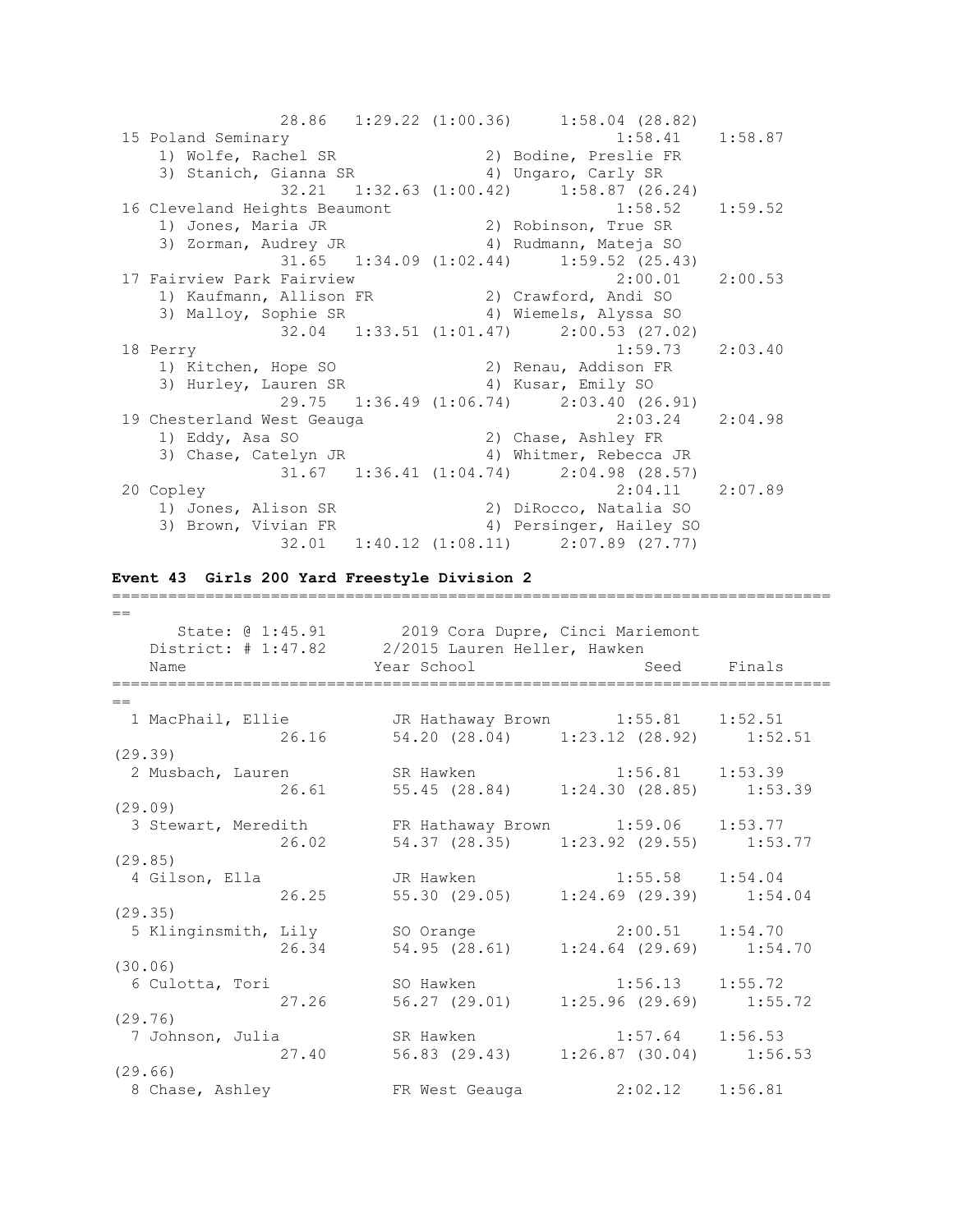|                                                                                         |  | 28.86 1:29.22 (1:00.36) 1:58.04 (28.82)           |         |
|-----------------------------------------------------------------------------------------|--|---------------------------------------------------|---------|
| 15 Poland Seminary                                                                      |  | $1:58.41$ $1:58.87$                               |         |
|                                                                                         |  |                                                   |         |
|                                                                                         |  |                                                   |         |
|                                                                                         |  | 32.21 1:32.63 (1:00.42) 1:58.87 (26.24)           |         |
| 16 Cleveland Heights Beaumont                                                           |  | $1:58.52$ $1:59.52$                               |         |
|                                                                                         |  |                                                   |         |
| 1) Jones, Maria JR (2) Robinson, True SR<br>3) Zorman, Audrey JR (4) Rudmann, Mateja SO |  |                                                   |         |
|                                                                                         |  | $31.65$ $1:34.09$ $(1:02.44)$ $1:59.52$ $(25.43)$ |         |
| 17 Fairview Park Fairview                                                               |  | 2:00.01                                           | 2:00.53 |
| 1) Kaufmann, Allison FR 2) Crawford, Andi SO                                            |  |                                                   |         |
| 3) Malloy, Sophie SR 4) Wiemels, Alyssa SO                                              |  |                                                   |         |
|                                                                                         |  | 32.04 1:33.51 (1:01.47) 2:00.53 (27.02)           |         |
| 18 Perry                                                                                |  | 1:59.73                                           | 2:03.40 |
| 1) Kitchen, Hope SO (2) Renau, Addison FR                                               |  |                                                   |         |
| 3) Hurley, Lauren SR (4) Kusar, Emily SO                                                |  |                                                   |         |
|                                                                                         |  | 29.75 1:36.49 (1:06.74) 2:03.40 (26.91)           |         |
| 19 Chesterland West Geauga                                                              |  | 2:03.24 2:04.98                                   |         |
| 1) Eddy, Asa SO                                                                         |  | 2) Chase, Ashley FR                               |         |
| 3) Chase, Catelyn JR (4) Whitmer, Rebecca JR                                            |  |                                                   |         |
|                                                                                         |  | $31.67$ $1:36.41$ $(1:04.74)$ $2:04.98$ $(28.57)$ |         |
| 20 Copley                                                                               |  | $2:04.11$ $2:07.89$                               |         |
| 1) Jones, Alison SR                                                                     |  | 2) DiRocco, Natalia SO                            |         |
| 3) Brown, Vivian FR 4) Persinger, Hailey SO                                             |  |                                                   |         |
|                                                                                         |  | 32.01 1:40.12 (1:08.11) 2:07.89 (27.77)           |         |

## **Event 43 Girls 200 Yard Freestyle Division 2**

| $==$    |                                                     |       |                                             |                     |  |
|---------|-----------------------------------------------------|-------|---------------------------------------------|---------------------|--|
|         | State: @ 1:45.91 2019 Cora Dupre, Cinci Mariemont   |       |                                             |                     |  |
|         | District: # 1:47.82 2/2015 Lauren Heller, Hawken    |       |                                             |                     |  |
|         | Name                                                |       | Year School in the Seed Finals              |                     |  |
| $=$     |                                                     |       |                                             |                     |  |
|         | 1 MacPhail, Ellie CR Hathaway Brown 1:55.81 1:52.51 |       |                                             |                     |  |
|         |                                                     | 26.16 | 54.20 (28.04) 1:23.12 (28.92) 1:52.51       |                     |  |
| (29.39) |                                                     |       |                                             |                     |  |
|         | 2 Musbach, Lauren SR Hawken 1:56.81 1:53.39         |       |                                             |                     |  |
|         |                                                     |       | 26.61 55.45 (28.84) 1:24.30 (28.85) 1:53.39 |                     |  |
| (29.09) |                                                     |       |                                             |                     |  |
|         | 3 Stewart, Meredith                                 |       | FR Hathaway Brown 1:59.06 1:53.77           |                     |  |
|         |                                                     | 26.02 | 54.37 (28.35) 1:23.92 (29.55) 1:53.77       |                     |  |
| (29.85) |                                                     |       |                                             |                     |  |
|         | 4 Gilson, Ella                                      |       | JR Hawken 1:55.58 1:54.04                   |                     |  |
|         |                                                     | 26.25 | 55.30 (29.05) 1:24.69 (29.39) 1:54.04       |                     |  |
| (29.35) |                                                     |       |                                             |                     |  |
|         | 5 Klinginsmith, Lily SO Orange 2:00.51 1:54.70      |       |                                             |                     |  |
|         |                                                     | 26.34 | 54.95 (28.61) 1:24.64 (29.69) 1:54.70       |                     |  |
| (30.06) |                                                     |       |                                             |                     |  |
|         | 6 Culotta, Tori                                     |       | SO Hawken 1:56.13 1:55.72                   |                     |  |
|         |                                                     |       | 27.26 56.27 (29.01) 1:25.96 (29.69) 1:55.72 |                     |  |
| (29.76) |                                                     |       |                                             |                     |  |
|         |                                                     |       |                                             |                     |  |
|         |                                                     |       | 27.40 56.83 (29.43) 1:26.87 (30.04) 1:56.53 |                     |  |
| (29.66) |                                                     |       |                                             |                     |  |
|         | 8 Chase, Ashley TR West Geauga                      |       |                                             | $2:02.12$ $1:56.81$ |  |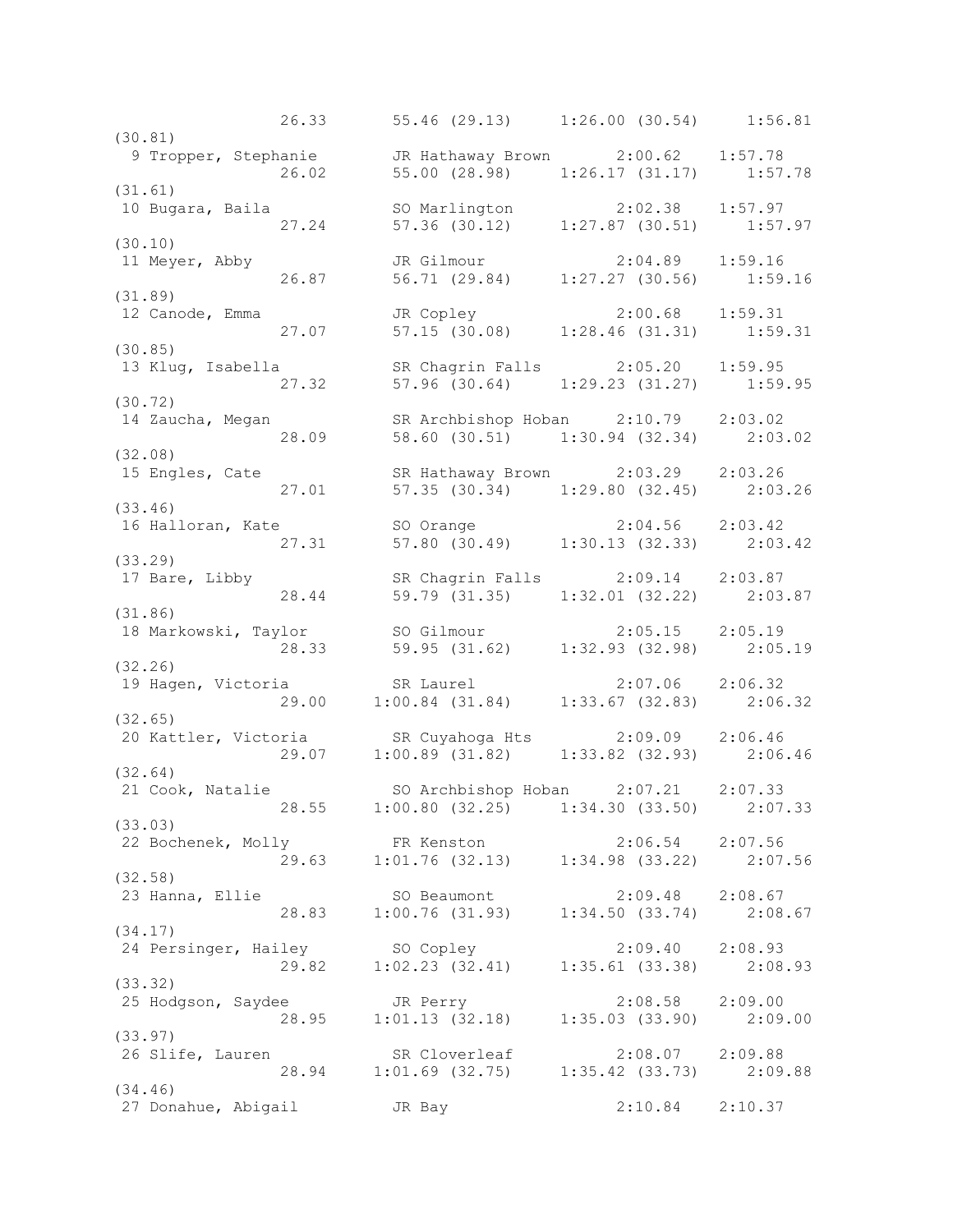26.33 55.46 (29.13) 1:26.00 (30.54) 1:56.81 (30.81) 9 Tropper, Stephanie JR Hathaway Brown 2:00.62 1:57.78 26.02 55.00 (28.98) 1:26.17 (31.17) 1:57.78 (31.61) 10 Bugara, Baila SO Marlington 2:02.38 1:57.97 27.24 57.36 (30.12) 1:27.87 (30.51) 1:57.97 (30.10)<br>11 Meyer, Abby 11 Meyer, Abby JR Gilmour 2:04.89 1:59.16 26.87 56.71 (29.84) 1:27.27 (30.56) 1:59.16 (31.89) 12 Canode, Emma JR Copley 2:00.68 1:59.31 27.07 57.15 (30.08) 1:28.46 (31.31) 1:59.31 (30.85) 13 Klug, Isabella SR Chagrin Falls 2:05.20 1:59.95 27.32 57.96 (30.64) 1:29.23 (31.27) 1:59.95 (30.72) 14 Zaucha, Megan SR Archbishop Hoban 2:10.79 2:03.02 28.09 58.60 (30.51) 1:30.94 (32.34) 2:03.02 (32.08) 15 Engles, Cate SR Hathaway Brown 2:03.29 2:03.26 27.01 57.35 (30.34) 1:29.80 (32.45) 2:03.26 (33.46)<br>16 Halloran, Kate 16 Halloran, Kate SO Orange 2:04.56 2:03.42 27.31 57.80 (30.49) 1:30.13 (32.33) 2:03.42 (33.29) 17 Bare, Libby SR Chagrin Falls 2:09.14 2:03.87 28.44 59.79 (31.35) 1:32.01 (32.22) 2:03.87 (31.86) 18 Markowski, Taylor SO Gilmour 2:05.15 2:05.19 28.33 59.95 (31.62) 1:32.93 (32.98) 2:05.19 (32.26) 19 Hagen, Victoria SR Laurel 2:07.06 2:06.32 29.00 1:00.84 (31.84) 1:33.67 (32.83) 2:06.32 (32.65) 20 Kattler, Victoria SR Cuyahoga Hts 2:09.09 2:06.46 29.07 1:00.89 (31.82) 1:33.82 (32.93) 2:06.46 (32.64) 21 Cook, Natalie SO Archbishop Hoban 2:07.21 2:07.33 28.55 1:00.80 (32.25) 1:34.30 (33.50) 2:07.33 (33.03) 22 Bochenek, Molly FR Kenston 2:06.54 2:07.56 29.63 1:01.76 (32.13) 1:34.98 (33.22) 2:07.56 (32.58) 23 Hanna, Ellie SO Beaumont 2:09.48 2:08.67 28.83 1:00.76 (31.93) 1:34.50 (33.74) 2:08.67 (34.17) 24 Persinger, Hailey SO Copley 2:09.40 2:08.93 29.82 1:02.23 (32.41) 1:35.61 (33.38) 2:08.93 (33.32) 25 Hodgson, Saydee JR Perry 2:08.58 2:09.00 28.95 1:01.13 (32.18) 1:35.03 (33.90) 2:09.00 (33.97) 26 Slife, Lauren SR Cloverleaf 2:08.07 2:09.88 28.94 1:01.69 (32.75) 1:35.42 (33.73) 2:09.88 (34.46) 27 Donahue, Abigail JR Bay 2:10.84 2:10.37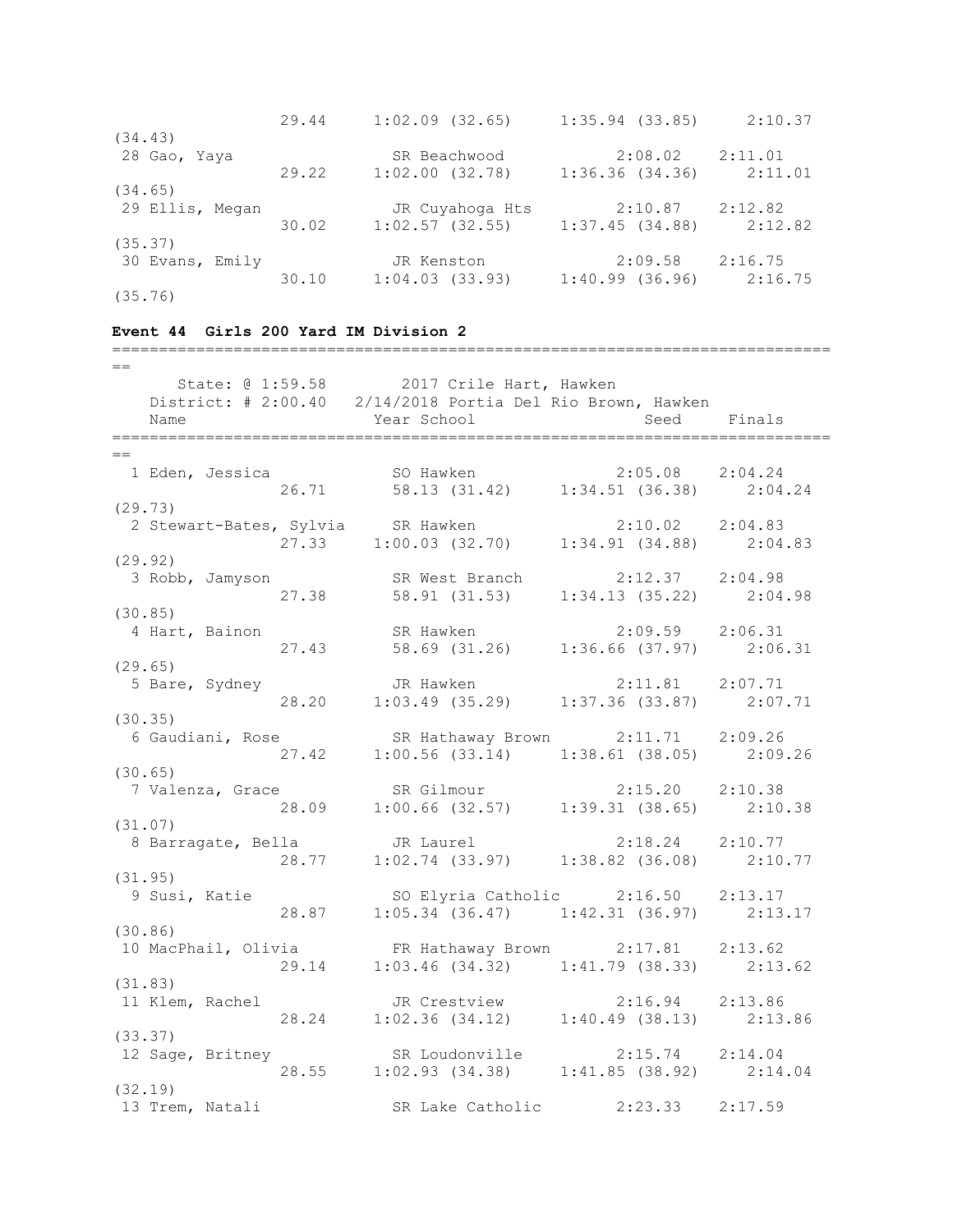|                 | 29.44 | $1:02.09$ $(32.65)$ | $1:35.94$ (33.85) | 2:10.37 |
|-----------------|-------|---------------------|-------------------|---------|
| (34.43)         |       |                     |                   |         |
| 28 Gao, Yaya    |       | SR Beachwood        | 2:08.02           | 2:11.01 |
|                 | 29.22 | $1:02.00$ $(32.78)$ | 1:36.36(34.36)    | 2:11.01 |
| (34.65)         |       |                     |                   |         |
| 29 Ellis, Megan |       | JR Cuyahoga Hts     | 2:10.87           | 2:12.82 |
|                 | 30.02 | 1:02.57(32.55)      | 1:37.45(34.88)    | 2:12.82 |
| (35.37)         |       |                     |                   |         |
| 30 Evans, Emily |       | JR Kenston          | 2:09.58           | 2:16.75 |
|                 | 30.10 | 1:04.03(33.93)      | 1:40.99(36.96)    | 2:16.75 |
| (35.76)         |       |                     |                   |         |

=============================================================================

#### **Event 44 Girls 200 Yard IM Division 2**

 $=$  State: @ 1:59.58 2017 Crile Hart, Hawken District: # 2:00.40 2/14/2018 Portia Del Rio Brown, Hawken Name Year School Seed Finals =============================================================================  $-$  1 Eden, Jessica SO Hawken 2:05.08 2:04.24 26.71 58.13 (31.42) 1:34.51 (36.38) 2:04.24 (29.73) 2 Stewart-Bates, Sylvia SR Hawken 2:10.02 2:04.83 27.33 1:00.03 (32.70) 1:34.91 (34.88) 2:04.83 (29.92) 3 Robb, Jamyson SR West Branch 2:12.37 2:04.98 27.38 58.91 (31.53) 1:34.13 (35.22) 2:04.98 (30.85) 4 Hart, Bainon SR Hawken 2:09.59 2:06.31 27.43 58.69 (31.26) 1:36.66 (37.97) 2:06.31 (29.65) 5 Bare, Sydney JR Hawken 2:11.81 2:07.71 28.20 1:03.49 (35.29) 1:37.36 (33.87) 2:07.71 (30.35) 6 Gaudiani, Rose SR Hathaway Brown 2:11.71 2:09.26 27.42 1:00.56 (33.14) 1:38.61 (38.05) 2:09.26 (30.65) 7 Valenza, Grace SR Gilmour 2:15.20 2:10.38 28.09 1:00.66 (32.57) 1:39.31 (38.65) 2:10.38 (31.07) 8 Barragate, Bella JR Laurel 2:18.24 2:10.77 28.77 1:02.74 (33.97) 1:38.82 (36.08) 2:10.77 (31.95) 9 Susi, Katie SO Elyria Catholic 2:16.50 2:13.17 28.87 1:05.34 (36.47) 1:42.31 (36.97) 2:13.17 (30.86) 10 MacPhail, Olivia FR Hathaway Brown 2:17.81 2:13.62 29.14 1:03.46 (34.32) 1:41.79 (38.33) 2:13.62 (31.83) 11 Klem, Rachel JR Crestview 2:16.94 2:13.86 28.24 1:02.36 (34.12) 1:40.49 (38.13) 2:13.86 (33.37)<br>12 Sage, Britney 12 Sage, Britney SR Loudonville 2:15.74 2:14.04 28.55 1:02.93 (34.38) 1:41.85 (38.92) 2:14.04 (32.19) 13 Trem, Natali SR Lake Catholic 2:23.33 2:17.59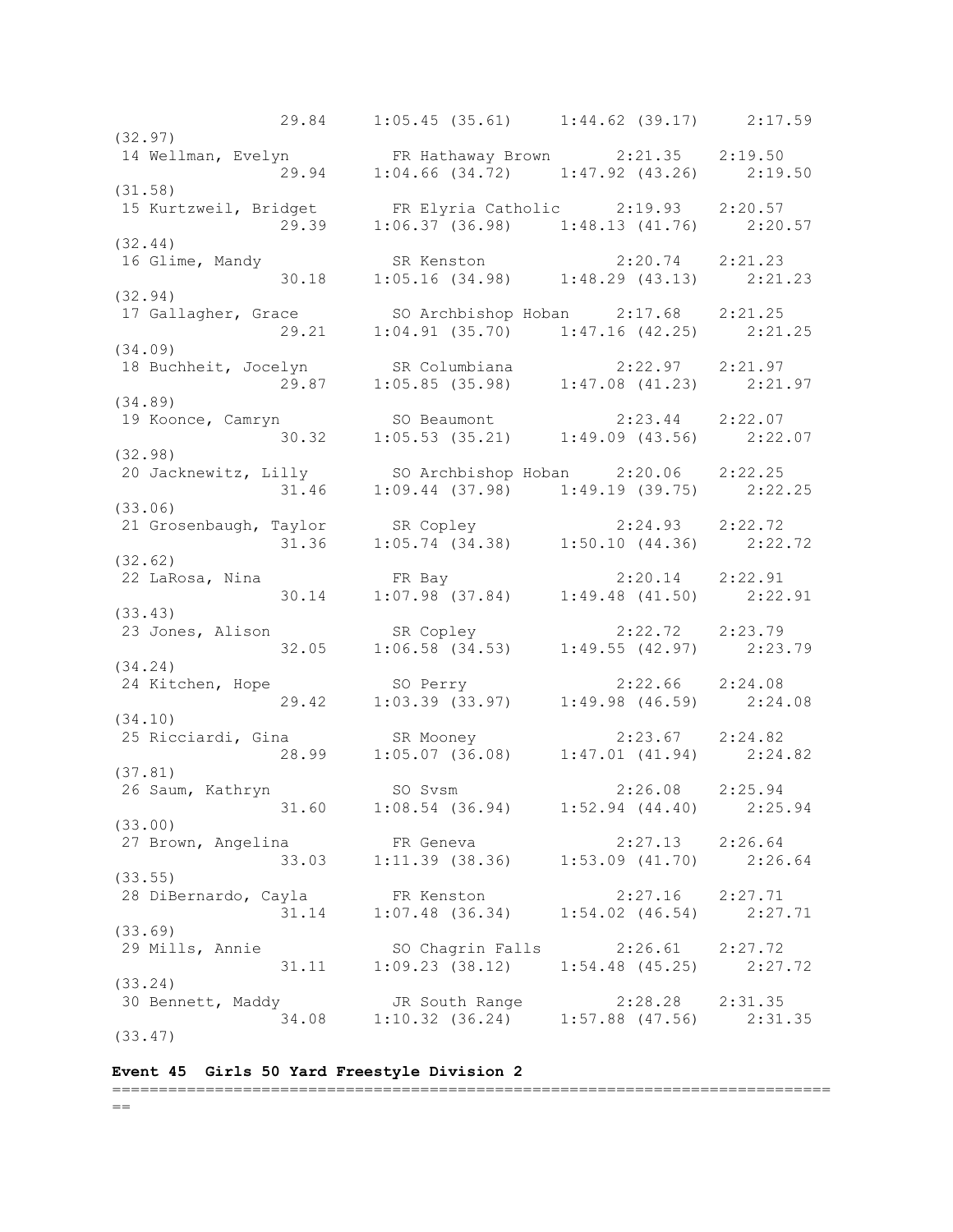29.84 1:05.45 (35.61) 1:44.62 (39.17) 2:17.59 (32.97) 14 Wellman, Evelyn FR Hathaway Brown 2:21.35 2:19.50 29.94 1:04.66 (34.72) 1:47.92 (43.26) 2:19.50 (31.58) 15 Kurtzweil, Bridget FR Elyria Catholic 2:19.93 2:20.57 29.39 1:06.37 (36.98) 1:48.13 (41.76) 2:20.57 (32.44) 16 Glime, Mandy SR Kenston 2:20.74 2:21.23 30.18 1:05.16 (34.98) 1:48.29 (43.13) 2:21.23 (32.94) 17 Gallagher, Grace SO Archbishop Hoban 2:17.68 2:21.25 29.21 1:04.91 (35.70) 1:47.16 (42.25) 2:21.25 (34.09) 18 Buchheit, Jocelyn SR Columbiana 2:22.97 2:21.97 29.87 1:05.85 (35.98) 1:47.08 (41.23) 2:21.97 (34.89) 19 Koonce, Camryn SO Beaumont 2:23.44 2:22.07 30.32 1:05.53 (35.21) 1:49.09 (43.56) 2:22.07 (32.98) 20 Jacknewitz, Lilly SO Archbishop Hoban 2:20.06 2:22.25 31.46 1:09.44 (37.98) 1:49.19 (39.75) 2:22.25 (33.06) 21 Grosenbaugh, Taylor SR Copley 2:24.93 2:22.72 31.36 1:05.74 (34.38) 1:50.10 (44.36) 2:22.72 (32.62) 22 LaRosa, Nina FR Bay 2:20.14 2:22.91 30.14 1:07.98 (37.84) 1:49.48 (41.50) 2:22.91 (33.43) 23 Jones, Alison SR Copley 2:22.72 2:23.79 32.05 1:06.58 (34.53) 1:49.55 (42.97) 2:23.79 (34.24) 24 Kitchen, Hope SO Perry 2:22.66 2:24.08 29.42 1:03.39 (33.97) 1:49.98 (46.59) 2:24.08 (34.10) 25 Ricciardi, Gina SR Mooney 2:23.67 2:24.82 28.99 1:05.07 (36.08) 1:47.01 (41.94) 2:24.82 (37.81) 26 Saum, Kathryn SO Svsm 2:26.08 2:25.94 31.60 1:08.54 (36.94) 1:52.94 (44.40) 2:25.94 (33.00) 27 Brown, Angelina FR Geneva 2:27.13 2:26.64 33.03 1:11.39 (38.36) 1:53.09 (41.70) 2:26.64 (33.55) 28 DiBernardo, Cayla FR Kenston 2:27.16 2:27.71 31.14 1:07.48 (36.34) 1:54.02 (46.54) 2:27.71 (33.69) 29 Mills, Annie SO Chagrin Falls 2:26.61 2:27.72 31.11 1:09.23 (38.12) 1:54.48 (45.25) 2:27.72 (33.24) 30 Bennett, Maddy JR South Range 2:28.28 2:31.35 34.08 1:10.32 (36.24) 1:57.88 (47.56) 2:31.35 (33.47)

## **Event 45 Girls 50 Yard Freestyle Division 2**

=============================================================================  $=$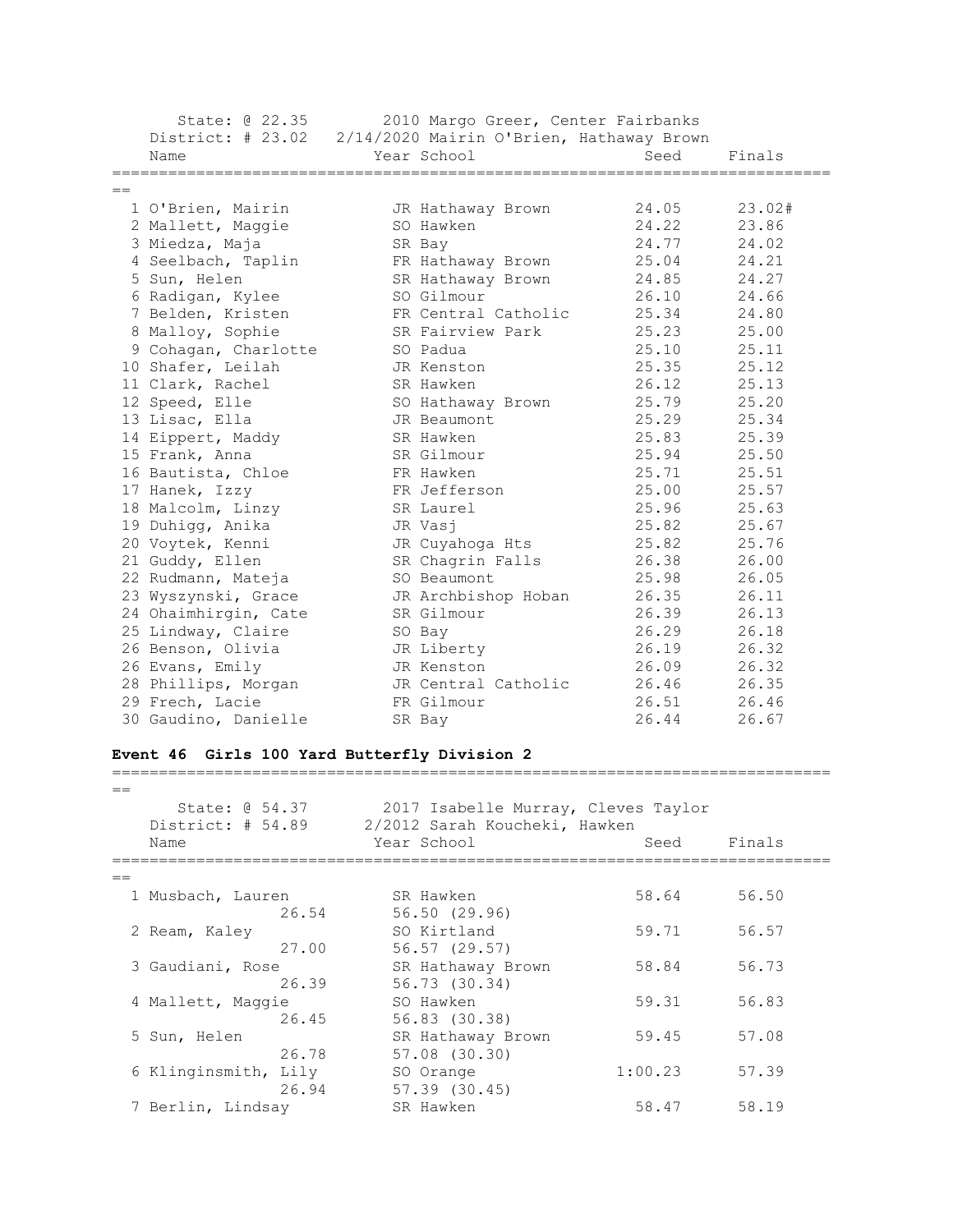State: @ 22.35 2010 Margo Greer, Center Fairbanks District: # 23.02 2/14/2020 Mairin O'Brien, Hathaway Brown Name Year School Seed Finals =============================================================================  $=$  1 O'Brien, Mairin JR Hathaway Brown 24.05 23.02# 2 Mallett, Maggie SO Hawken 24.22 23.86 3 Miedza, Maja SR Bay 24.77 24.02 4 Seelbach, Taplin FR Hathaway Brown 25.04 24.21 5 Sun, Helen SR Hathaway Brown 24.85 24.27 6 Radigan, Kylee SO Gilmour 26.10 24.66 7 Belden, Kristen FR Central Catholic 25.34 24.80 8 Malloy, Sophie SR Fairview Park 25.23 25.00 9 Cohagan, Charlotte SO Padua 25.10 25.11 10 Shafer, Leilah JR Kenston 25.35 25.12 11 Clark, Rachel SR Hawken 26.12 25.13 12 Speed, Elle SO Hathaway Brown 25.79 25.20 13 Lisac, Ella JR Beaumont 25.29 25.34 14 Eippert, Maddy SR Hawken 25.83 25.39 15 Frank, Anna SR Gilmour 25.94 25.50 16 Bautista, Chloe FR Hawken 25.71 25.51 17 Hanek, Izzy FR Jefferson 25.00 25.57 18 Malcolm, Linzy SR Laurel 25.96 25.63 19 Duhigg, Anika JR Vasj 25.82 25.67 20 Voytek, Kenni JR Cuyahoga Hts 25.82 25.76 21 Guddy, Ellen SR Chagrin Falls 26.38 26.00 22 Rudmann, Mateja SO Beaumont 25.98 26.05 23 Wyszynski, Grace JR Archbishop Hoban 26.35 26.11 24 Ohaimhirgin, Cate SR Gilmour 26.39 26.13 25 Lindway, Claire SO Bay 26.29 26.18 26 Benson, Olivia JR Liberty 26.19 26.32 26 Evans, Emily JR Kenston 26.09 26.32 28 Phillips, Morgan JR Central Catholic 26.46 26.35 29 Frech, Lacie FR Gilmour 26.51 26.46 30 Gaudino, Danielle SR Bay 26.44 26.67 **Event 46 Girls 100 Yard Butterfly Division 2** =============================================================================  $=$  State: @ 54.37 2017 Isabelle Murray, Cleves Taylor District: # 54.89 2/2012 Sarah Koucheki, Hawken Name Year School Seed Finals

| $=$                  |       |                   |         |       |
|----------------------|-------|-------------------|---------|-------|
| 1 Musbach, Lauren    |       | SR Hawken         | 58.64   | 56.50 |
|                      | 26.54 | 56.50 (29.96)     |         |       |
| 2 Ream, Kaley        |       | SO Kirtland       | 59.71   | 56.57 |
|                      | 27.00 | 56.57(29.57)      |         |       |
| 3 Gaudiani, Rose     |       | SR Hathaway Brown | 58.84   | 56.73 |
|                      | 26.39 | 56.73 (30.34)     |         |       |
| 4 Mallett, Maggie    |       | SO Hawken         | 59.31   | 56.83 |
|                      | 26.45 | 56.83 (30.38)     |         |       |
| 5 Sun, Helen         |       | SR Hathaway Brown | 59.45   | 57.08 |
|                      | 26.78 | 57.08 (30.30)     |         |       |
| 6 Klinginsmith, Lily |       | SO Orange         | 1:00.23 | 57.39 |
|                      | 26.94 | $57.39$ $(30.45)$ |         |       |
| 7 Berlin, Lindsay    |       | SR Hawken         | 58.47   | 58.19 |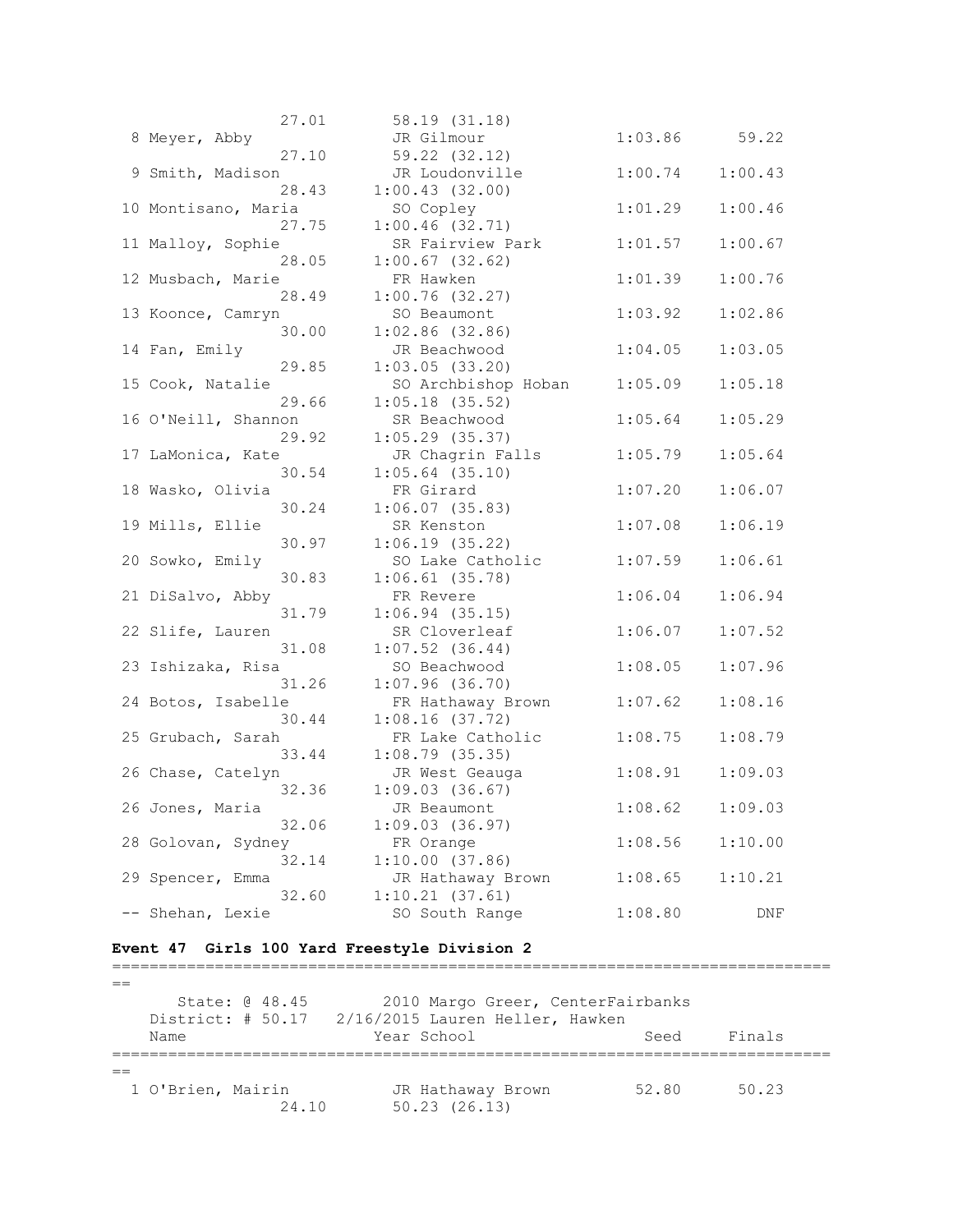| 27.01               | 58.19 (31.18)       |         |         |
|---------------------|---------------------|---------|---------|
| 8 Meyer, Abby       | JR Gilmour          | 1:03.86 | 59.22   |
| 27.10               | 59.22 (32.12)       |         |         |
| 9 Smith, Madison    | JR Loudonville      | 1:00.74 | 1:00.43 |
| 28.43               | 1:00.43(32.00)      |         |         |
| 10 Montisano, Maria | SO Copley           | 1:01.29 | 1:00.46 |
| 27.75               | 1:00.46(32.71)      |         |         |
| 11 Malloy, Sophie   | SR Fairview Park    | 1:01.57 | 1:00.67 |
| 28.05               | $1:00.67$ (32.62)   |         |         |
| 12 Musbach, Marie   | FR Hawken           | 1:01.39 | 1:00.76 |
| 28.49               | 1:00.76(32.27)      |         |         |
| 13 Koonce, Camryn   | SO Beaumont         | 1:03.92 | 1:02.86 |
| 30.00               | $1:02.86$ (32.86)   |         |         |
| 14 Fan, Emily       | JR Beachwood        | 1:04.05 | 1:03.05 |
| 29.85               | 1:03.05(33.20)      |         |         |
| 15 Cook, Natalie    | SO Archbishop Hoban | 1:05.09 | 1:05.18 |
| 29.66               | $1:05.18$ (35.52)   |         |         |
| 16 O'Neill, Shannon | SR Beachwood        | 1:05.64 | 1:05.29 |
| 29.92               | $1:05.29$ (35.37)   |         |         |
| 17 LaMonica, Kate   | JR Chagrin Falls    | 1:05.79 | 1:05.64 |
| 30.54               | $1:05.64$ (35.10)   |         |         |
| 18 Wasko, Olivia    | FR Girard           | 1:07.20 | 1:06.07 |
| 30.24               | 1:06.07(35.83)      |         |         |
| 19 Mills, Ellie     | SR Kenston          | 1:07.08 | 1:06.19 |
| 30.97               | 1:06.19(35.22)      |         |         |
| 20 Sowko, Emily     | SO Lake Catholic    | 1:07.59 | 1:06.61 |
| 30.83               | $1:06.61$ (35.78)   |         |         |
| 21 DiSalvo, Abby    | FR Revere           | 1:06.04 | 1:06.94 |
| 31.79               | 1:06.94(35.15)      |         |         |
| 22 Slife, Lauren    | SR Cloverleaf       | 1:06.07 | 1:07.52 |
| 31.08               | $1:07.52$ $(36.44)$ |         |         |
| 23 Ishizaka, Risa   | SO Beachwood        | 1:08.05 | 1:07.96 |
| 31.26               | 1:07.96(36.70)      |         |         |
| 24 Botos, Isabelle  | FR Hathaway Brown   | 1:07.62 | 1:08.16 |
| 30.44               | 1:08.16(37.72)      |         |         |
| 25 Grubach, Sarah   | FR Lake Catholic    | 1:08.75 | 1:08.79 |
| 33.44               | $1:08.79$ (35.35)   |         |         |
| 26 Chase, Catelyn   | JR West Geauga      | 1:08.91 | 1:09.03 |
| 32.36               | 1:09.03(36.67)      |         |         |
| 26 Jones, Maria     | JR Beaumont         | 1:08.62 | 1:09.03 |
| 32.06               | 1:09.03(36.97)      |         |         |
| 28 Golovan, Sydney  | FR Orange           | 1:08.56 | 1:10.00 |
| 32.14               | 1:10.00(37.86)      |         |         |
| 29 Spencer, Emma    | JR Hathaway Brown   | 1:08.65 | 1:10.21 |
| 32.60               | 1:10.21(37.61)      |         |         |
| -- Shehan, Lexie    | SO South Range      | 1:08.80 | DNF     |

# **Event 47 Girls 100 Yard Freestyle Division 2**

| State: @ 48.45<br>Name |       | 2010 Margo Greer, CenterFairbanks<br>District: # 50.17 2/16/2015 Lauren Heller, Hawken<br>Year School | Seed  | Finals |
|------------------------|-------|-------------------------------------------------------------------------------------------------------|-------|--------|
| 1 O'Brien, Mairin      | 24.10 | JR Hathaway Brown<br>$50.23$ $(26.13)$                                                                | 52.80 | 50.23  |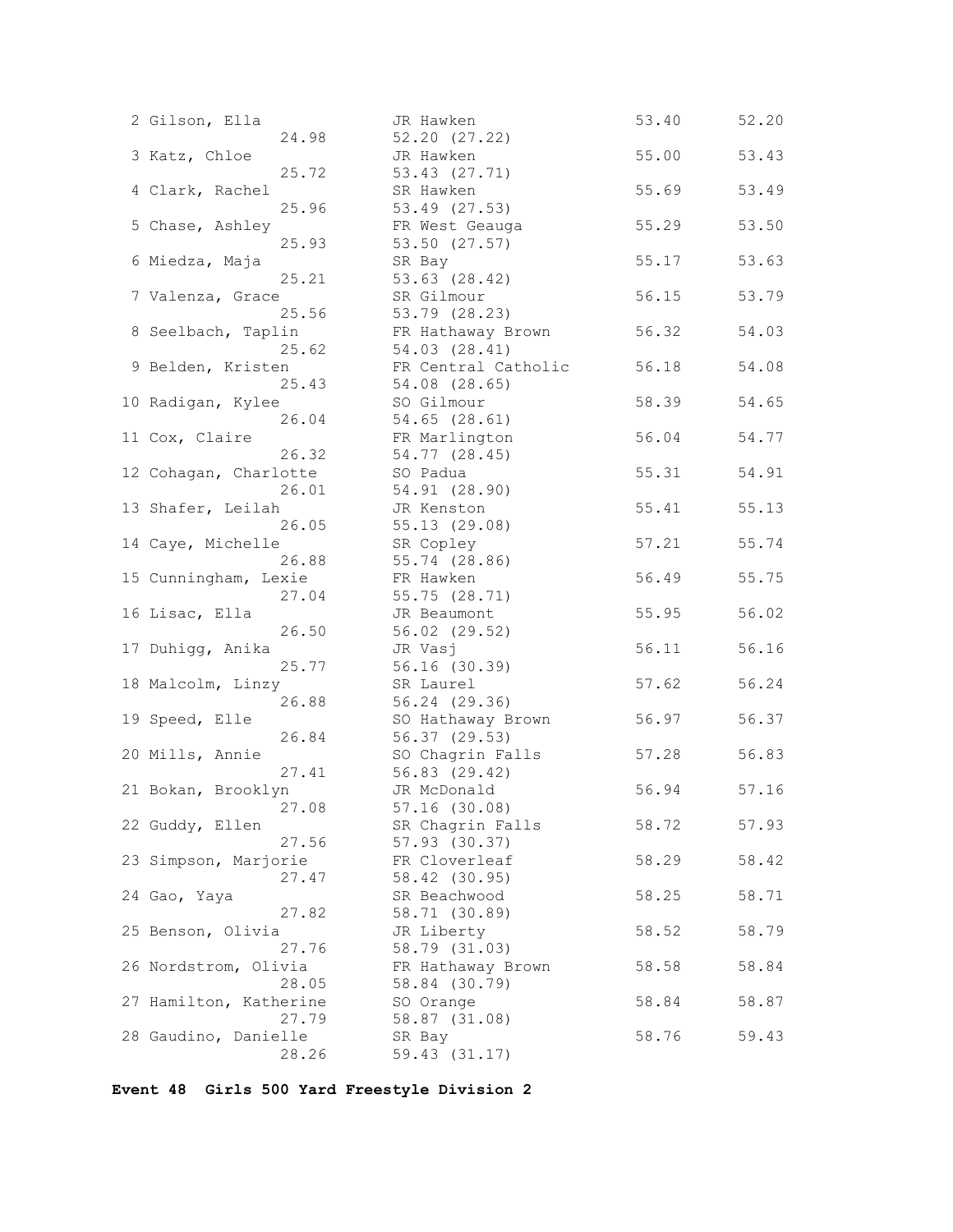| 2 Gilson, Ella          | JR Hawken                    | 53.40 | 52.20 |
|-------------------------|------------------------------|-------|-------|
| 24.98                   | 52.20(27.22)                 |       |       |
| 3 Katz, Chloe           | JR Hawken                    | 55.00 | 53.43 |
| 25.72                   | 53.43 (27.71)                |       |       |
| 4 Clark, Rachel         | SR Hawken                    | 55.69 | 53.49 |
| 25.96                   | 53.49 (27.53)                |       |       |
| 5 Chase, Ashley         | FR West Geauga               | 55.29 | 53.50 |
| 25.93                   | 53.50 (27.57)                |       |       |
| 6 Miedza, Maja          | SR Bay                       | 55.17 | 53.63 |
| 25.21                   | 53.63 (28.42)                |       |       |
| 7 Valenza, Grace        | SR Gilmour                   | 56.15 | 53.79 |
| 25.56                   | 53.79 (28.23)                |       |       |
| 8 Seelbach, Taplin      | FR Hathaway Brown            | 56.32 | 54.03 |
| 25.62                   | 54.03 (28.41)                |       |       |
| 9 Belden, Kristen       | FR Central Catholic          | 56.18 | 54.08 |
| 25.43                   | 54.08 (28.65)                |       |       |
| 10 Radigan, Kylee       | SO Gilmour                   | 58.39 | 54.65 |
| 26.04                   | 54.65 (28.61)                |       |       |
| 11 Cox, Claire<br>26.32 | FR Marlington                | 56.04 | 54.77 |
|                         | 54.77 (28.45)                |       |       |
| 12 Cohagan, Charlotte   | SO Padua                     | 55.31 | 54.91 |
| 26.01                   | 54.91 (28.90)<br>JR Kenston  |       |       |
| 13 Shafer, Leilah       | 55.13(29.08)                 | 55.41 | 55.13 |
| 26.05                   |                              | 57.21 |       |
| 14 Caye, Michelle       | SR Copley<br>55.74 (28.86)   |       | 55.74 |
| 26.88                   |                              |       |       |
| 15 Cunningham, Lexie    | FR Hawken                    | 56.49 | 55.75 |
| 27.04<br>16 Lisac, Ella | 55.75 (28.71)<br>JR Beaumont | 55.95 | 56.02 |
| 26.50                   | 56.02 (29.52)                |       |       |
| 17 Duhigg, Anika        |                              | 56.11 | 56.16 |
| 25.77                   | JR Vasj<br>56.16 (30.39)     |       |       |
| 18 Malcolm, Linzy       | SR Laurel                    | 57.62 | 56.24 |
| 26.88                   | 56.24 (29.36)                |       |       |
| 19 Speed, Elle          | SO Hathaway Brown            | 56.97 | 56.37 |
| 26.84                   | 56.37 (29.53)                |       |       |
| 20 Mills, Annie         | SO Chagrin Falls             | 57.28 | 56.83 |
| 27.41                   | 56.83 (29.42)                |       |       |
| 21 Bokan, Brooklyn      | JR McDonald                  | 56.94 | 57.16 |
| 27.08                   | $57.16$ $(30.08)$            |       |       |
| 22 Guddy, Ellen         | SR Chagrin Falls             | 58.72 | 57.93 |
| 27.56                   | 57.93 (30.37)                |       |       |
| 23 Simpson, Marjorie    | FR Cloverleaf                | 58.29 | 58.42 |
| 27.47                   | 58.42 (30.95)                |       |       |
| 24 Gao, Yaya            | SR Beachwood                 | 58.25 | 58.71 |
| 27.82                   | 58.71 (30.89)                |       |       |
| 25 Benson, Olivia       | JR Liberty                   | 58.52 | 58.79 |
| 27.76                   | 58.79 (31.03)                |       |       |
| 26 Nordstrom, Olivia    | FR Hathaway Brown            | 58.58 | 58.84 |
| 28.05                   | 58.84 (30.79)                |       |       |
| 27 Hamilton, Katherine  | SO Orange                    | 58.84 | 58.87 |
| 27.79                   | 58.87 (31.08)                |       |       |
| 28 Gaudino, Danielle    | SR Bay                       | 58.76 | 59.43 |
| 28.26                   | 59.43 (31.17)                |       |       |
|                         |                              |       |       |

**Event 48 Girls 500 Yard Freestyle Division 2**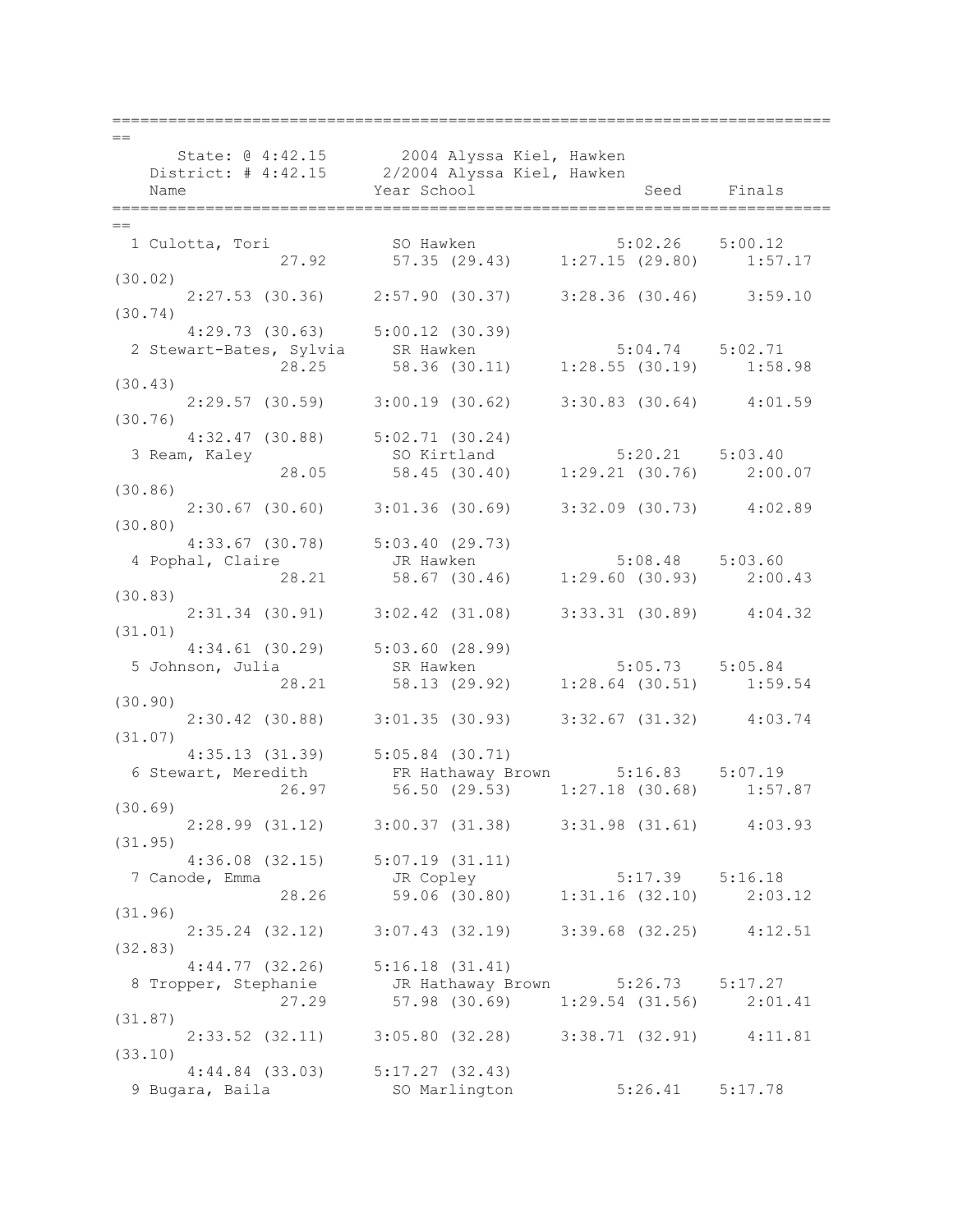| $==$ |                                                                                                  |                                                                                  |                               |             |
|------|--------------------------------------------------------------------------------------------------|----------------------------------------------------------------------------------|-------------------------------|-------------|
|      | State: 0 4:42.15 2004 Alyssa Kiel, Hawken<br>District: # 4:42.15 2/2004 Alyssa Kiel, Hawken      |                                                                                  |                               |             |
|      |                                                                                                  |                                                                                  |                               |             |
|      | Name                                                                                             | Year School                                                                      |                               | Seed Finals |
|      |                                                                                                  |                                                                                  |                               |             |
| $==$ |                                                                                                  |                                                                                  |                               |             |
|      | 1 Culotta, Tori                                                                                  | SO Hawken 5:02.26 5:00.12<br>27.92 57.35 (29.43) 1:27.15 (29.80) 1:57.17         |                               |             |
|      | (30.02)                                                                                          |                                                                                  |                               |             |
|      |                                                                                                  | 2:27.53 (30.36) 2:57.90 (30.37) 3:28.36 (30.46) 3:59.10                          |                               |             |
|      | (30.74)                                                                                          |                                                                                  |                               |             |
|      | $4:29.73$ (30.63) $5:00.12$ (30.39)                                                              |                                                                                  |                               |             |
|      |                                                                                                  |                                                                                  |                               |             |
|      | 2 Stewart-Bates, Sylvia SR Hawken 5:04.74 5:02.71<br>28.25 58.36 (30.11) 1:28.55 (30.19) 1:58.98 |                                                                                  |                               |             |
|      | (30.43)                                                                                          |                                                                                  |                               |             |
|      |                                                                                                  | $2:29.57$ (30.59) 3:00.19 (30.62) 3:30.83 (30.64) 4:01.59                        |                               |             |
|      | (30.76)                                                                                          |                                                                                  |                               |             |
|      | $4:32.47$ (30.88) $5:02.71$ (30.24)                                                              |                                                                                  |                               |             |
|      | 3 Ream, Kaley                                                                                    | SO Kirtland 5:20.21 5:03.40                                                      |                               |             |
|      | 28.05                                                                                            | 58.45 (30.40) 1:29.21 (30.76) 2:00.07                                            |                               |             |
|      | (30.86)                                                                                          |                                                                                  |                               |             |
|      |                                                                                                  | $2:30.67$ (30.60) $3:01.36$ (30.69) $3:32.09$ (30.73) $4:02.89$                  |                               |             |
|      | (30.80)                                                                                          |                                                                                  |                               |             |
|      | $4:33.67$ (30.78) $5:03.40$ (29.73)                                                              |                                                                                  |                               |             |
|      |                                                                                                  |                                                                                  |                               |             |
|      | 4 Pophal, Claire and TR Hawken<br>28.21 58.67 (30.46) 1:29.60 (30.93) 2:00.43                    |                                                                                  |                               |             |
|      | (30.83)                                                                                          |                                                                                  |                               |             |
|      |                                                                                                  | 2:31.34 (30.91) 3:02.42 (31.08) 3:33.31 (30.89) 4:04.32                          |                               |             |
|      | (31.01)                                                                                          |                                                                                  |                               |             |
|      | $4:34.61$ (30.29) $5:03.60$ (28.99)                                                              |                                                                                  |                               |             |
|      | 5 Johnson, Julia SR Hawken 5:05.73 5:05.84<br>28.21 58.13 (29.92) 1:28.64 (30.51) 1:59.54        |                                                                                  |                               |             |
|      |                                                                                                  |                                                                                  |                               |             |
|      | (30.90)                                                                                          |                                                                                  |                               |             |
|      |                                                                                                  | 2:30.42 (30.88) 3:01.35 (30.93) 3:32.67 (31.32) 4:03.74                          |                               |             |
|      | (31.07)                                                                                          |                                                                                  |                               |             |
|      | $4:35.13$ $(31.39)$ $5:05.84$ $(30.71)$                                                          |                                                                                  |                               |             |
|      | 6 Stewart, Meredith                                                                              | FR Hathaway Brown 5:16.83 5:07.19<br>26.97 56.50 (29.53) 1:27.18 (30.68) 1:57.87 |                               |             |
|      |                                                                                                  |                                                                                  |                               |             |
|      | (30.69)                                                                                          | 2:28.99 (31.12) 3:00.37 (31.38) 3:31.98 (31.61) 4:03.93                          |                               |             |
|      | (31.95)                                                                                          |                                                                                  |                               |             |
|      | $4:36.08$ (32.15) $5:07.19$ (31.11)                                                              |                                                                                  |                               |             |
|      | 7 Canode, Emma                                                                                   | JR Copley                                                                        | $5:17.39$ $5:16.18$           |             |
|      | 28.26                                                                                            | 59.06 (30.80)                                                                    | $1:31.16$ $(32.10)$ $2:03.12$ |             |
|      | (31.96)                                                                                          |                                                                                  |                               |             |
|      |                                                                                                  | $2:35.24$ (32.12) 3:07.43 (32.19)                                                | $3:39.68$ (32.25) $4:12.51$   |             |
|      | (32.83)                                                                                          |                                                                                  |                               |             |
|      | $4:44.77$ (32.26) $5:16.18$ (31.41)                                                              |                                                                                  |                               |             |
|      | 8 Tropper, Stephanie M JR Hathaway Brown 5:26.73 5:17.27                                         |                                                                                  |                               |             |
|      |                                                                                                  | 27.29 57.98 (30.69)                                                              | $1:29.54$ (31.56) $2:01.41$   |             |
|      | (31.87)                                                                                          |                                                                                  |                               |             |
|      |                                                                                                  | 2:33.52 (32.11) 3:05.80 (32.28) 3:38.71 (32.91) 4:11.81                          |                               |             |
|      | (33.10)                                                                                          |                                                                                  |                               |             |
|      | $4:44.84$ (33.03) $5:17.27$ (32.43)                                                              |                                                                                  |                               |             |
|      | 9 Bugara, Baila                                                                                  | SO Marlington                                                                    | $5:26.41$ $5:17.78$           |             |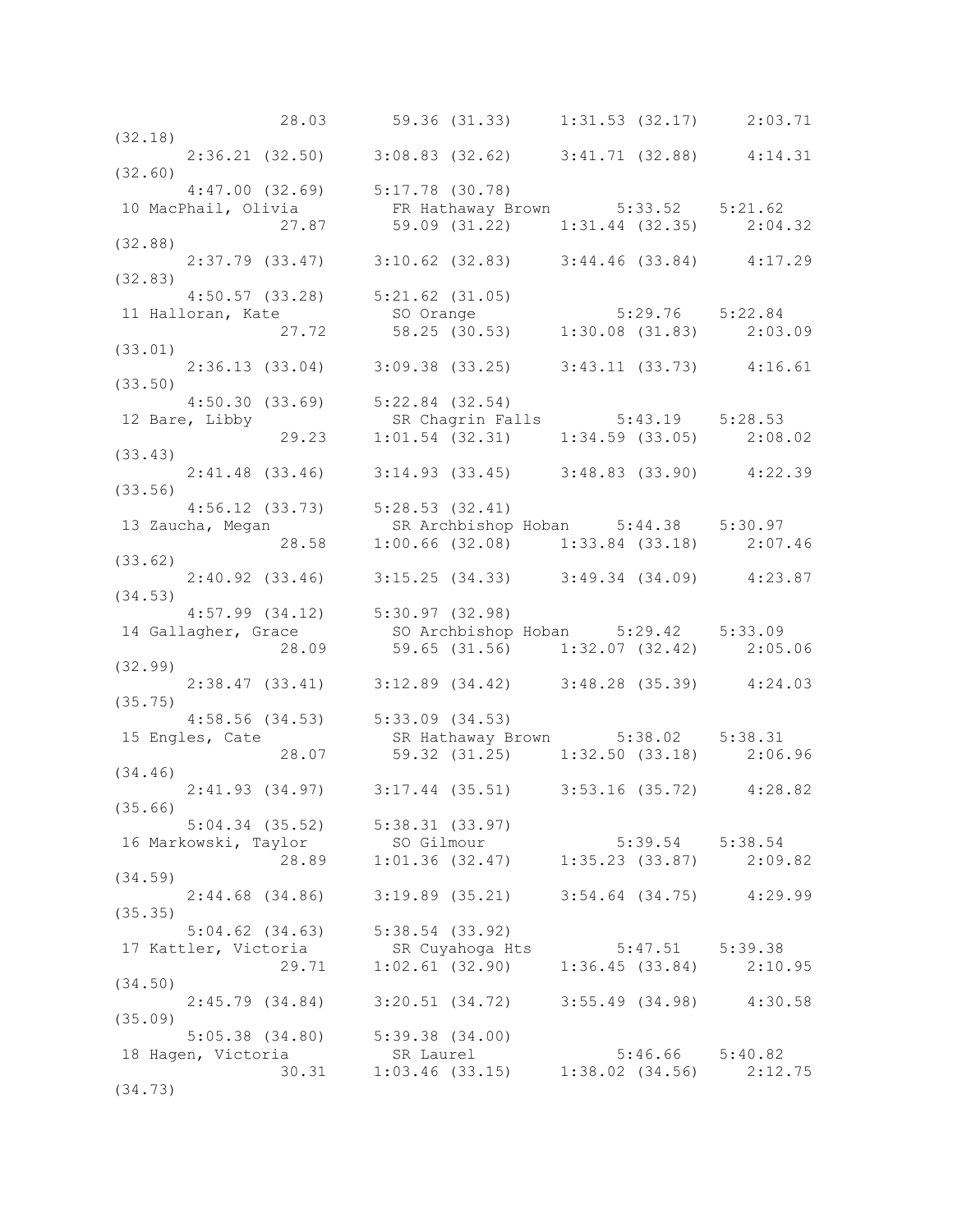|                                                                                                                                          | 28.03 59.36 (31.33) 1:31.53 (32.17) 2:03.71                                                                                                                                                                                   |                     |  |
|------------------------------------------------------------------------------------------------------------------------------------------|-------------------------------------------------------------------------------------------------------------------------------------------------------------------------------------------------------------------------------|---------------------|--|
| (32.18)                                                                                                                                  |                                                                                                                                                                                                                               |                     |  |
| $2:36.21$ (32.50) $3:08.83$ (32.62) $3:41.71$ (32.88) $4:14.31$                                                                          |                                                                                                                                                                                                                               |                     |  |
| (32.60)                                                                                                                                  |                                                                                                                                                                                                                               |                     |  |
| $4:47.00$ (32.69) $5:17.78$ (30.78)                                                                                                      |                                                                                                                                                                                                                               |                     |  |
| 10 MacPhail, Olivia FR Hathaway Brown 5:33.52 5:21.62                                                                                    |                                                                                                                                                                                                                               |                     |  |
| $(32.88)$ 27.87 59.09 (31.22) 1:31.44 (32.35) 2:04.32                                                                                    |                                                                                                                                                                                                                               |                     |  |
|                                                                                                                                          |                                                                                                                                                                                                                               |                     |  |
|                                                                                                                                          |                                                                                                                                                                                                                               |                     |  |
| $2:37.79$ (33.47) 3:10.62 (32.83) 3:44.46 (33.84) 4:17.29                                                                                |                                                                                                                                                                                                                               |                     |  |
|                                                                                                                                          |                                                                                                                                                                                                                               |                     |  |
|                                                                                                                                          |                                                                                                                                                                                                                               |                     |  |
|                                                                                                                                          |                                                                                                                                                                                                                               |                     |  |
|                                                                                                                                          |                                                                                                                                                                                                                               |                     |  |
| 4:50.57 (33.28) 5:21.62 (31.05)<br>11 Halloran, Kate so Orange 5:29.76 5:22.84<br>27.72 58.25 (30.53) 1:30.08 (31.83) 2:03.09<br>(33.01) |                                                                                                                                                                                                                               |                     |  |
|                                                                                                                                          | $2:36.13$ (33.04) $3:09.38$ (33.25) $3:43.11$ (33.73) $4:16.61$                                                                                                                                                               |                     |  |
|                                                                                                                                          |                                                                                                                                                                                                                               |                     |  |
| (33.50)                                                                                                                                  |                                                                                                                                                                                                                               |                     |  |
|                                                                                                                                          |                                                                                                                                                                                                                               |                     |  |
|                                                                                                                                          |                                                                                                                                                                                                                               |                     |  |
| 4:50.30 (33.69) 5:22.84 (32.54)<br>12 Bare, Libby SR Chagrin Falls 5:43.19 5:28.53<br>29.23 1:01.54 (32.31) 1:34.59 (33.05) 2:08.02      |                                                                                                                                                                                                                               |                     |  |
| (33.43)                                                                                                                                  |                                                                                                                                                                                                                               |                     |  |
| $2:41.48$ (33.46) 3:14.93 (33.45) 3:48.83 (33.90) 4:22.39                                                                                |                                                                                                                                                                                                                               |                     |  |
| (33.56)                                                                                                                                  |                                                                                                                                                                                                                               |                     |  |
| $4:56.12$ (33.73) $5:28.53$ (32.41)                                                                                                      |                                                                                                                                                                                                                               |                     |  |
|                                                                                                                                          |                                                                                                                                                                                                                               |                     |  |
|                                                                                                                                          |                                                                                                                                                                                                                               |                     |  |
| 13 Zaucha, Megan SR Archbishop Hoban 5:44.38 5:30.97<br>28.58 1:00.66 (32.08) 1:33.84 (33.18) 2:07.46<br>33.62)                          |                                                                                                                                                                                                                               |                     |  |
| (33.62)                                                                                                                                  |                                                                                                                                                                                                                               |                     |  |
| $2:40.92$ (33.46) 3:15.25 (34.33) 3:49.34 (34.09) 4:23.87                                                                                |                                                                                                                                                                                                                               |                     |  |
| (34.53)                                                                                                                                  |                                                                                                                                                                                                                               |                     |  |
| $4:57.99$ (34.12) $5:30.97$ (32.98)                                                                                                      |                                                                                                                                                                                                                               |                     |  |
|                                                                                                                                          |                                                                                                                                                                                                                               |                     |  |
|                                                                                                                                          |                                                                                                                                                                                                                               |                     |  |
|                                                                                                                                          |                                                                                                                                                                                                                               |                     |  |
| 14 Gallagher, Grace 59.65 (31.56) 5:29.42 5:33.09<br>28.09 59.65 (31.56) 1:32.07 (32.42) 2:05.06                                         |                                                                                                                                                                                                                               |                     |  |
| (32.99)                                                                                                                                  |                                                                                                                                                                                                                               |                     |  |
|                                                                                                                                          | $2:38.47$ (33.41) $3:12.89$ (34.42) $3:48.28$ (35.39) $4:24.03$                                                                                                                                                               |                     |  |
| (35.75)                                                                                                                                  |                                                                                                                                                                                                                               |                     |  |
|                                                                                                                                          |                                                                                                                                                                                                                               |                     |  |
| $4:58.56$ (34.53) $5:33.09$ (34.53)<br>15 Engles, Cate                                                                                   |                                                                                                                                                                                                                               |                     |  |
|                                                                                                                                          |                                                                                                                                                                                                                               |                     |  |
|                                                                                                                                          | ate SR Hathaway Brown 5:38.02 5:38.31<br>28.07 59.32 (31.25) 1:32.50 (33.18) 2:06.96                                                                                                                                          |                     |  |
| (34.46)                                                                                                                                  |                                                                                                                                                                                                                               |                     |  |
| 2:41.93 (34.97) 3:17.44 (35.51) 3:53.16 (35.72) 4:28.82                                                                                  |                                                                                                                                                                                                                               |                     |  |
| (35.66)                                                                                                                                  |                                                                                                                                                                                                                               |                     |  |
|                                                                                                                                          | $5:04.34$ (35.52) $5:38.31$ (33.97)                                                                                                                                                                                           |                     |  |
| 16 Markowski, Taylor SO Gilmour                                                                                                          |                                                                                                                                                                                                                               |                     |  |
|                                                                                                                                          | Veral Contract Solution contracts and the set of the set of the set of the set of the set of the set of the set of the set of the set of the set of the set of the set of the set of the set of the set of the set of the set |                     |  |
| (34.59)                                                                                                                                  |                                                                                                                                                                                                                               |                     |  |
|                                                                                                                                          | 2:44.68 (34.86) 3:19.89 (35.21) 3:54.64 (34.75) 4:29.99                                                                                                                                                                       |                     |  |
| (35.35)                                                                                                                                  |                                                                                                                                                                                                                               |                     |  |
| $5:04.62$ (34.63) $5:38.54$ (33.92)                                                                                                      |                                                                                                                                                                                                                               |                     |  |
|                                                                                                                                          |                                                                                                                                                                                                                               |                     |  |
| 17 Kattler, Victoria SR Cuyahoga Hts 5:47.51 5:39.38                                                                                     |                                                                                                                                                                                                                               |                     |  |
| 29.71                                                                                                                                    | $1:02.61$ (32.90) $1:36.45$ (33.84) $2:10.95$                                                                                                                                                                                 |                     |  |
| (34.50)                                                                                                                                  |                                                                                                                                                                                                                               |                     |  |
|                                                                                                                                          | 2:45.79 (34.84) 3:20.51 (34.72) 3:55.49 (34.98) 4:30.58                                                                                                                                                                       |                     |  |
| (35.09)                                                                                                                                  |                                                                                                                                                                                                                               |                     |  |
| $5:05.38$ (34.80) $5:39.38$ (34.00)                                                                                                      |                                                                                                                                                                                                                               |                     |  |
|                                                                                                                                          | SR Laurel                                                                                                                                                                                                                     | $5:46.66$ $5:40.82$ |  |
| 18 Hagen, Victoria<br>30.31                                                                                                              | SR Laurel 5:46.66 5:40.82<br>1:03.46 (33.15) 1:38.02 (34.56) 2:12.75                                                                                                                                                          |                     |  |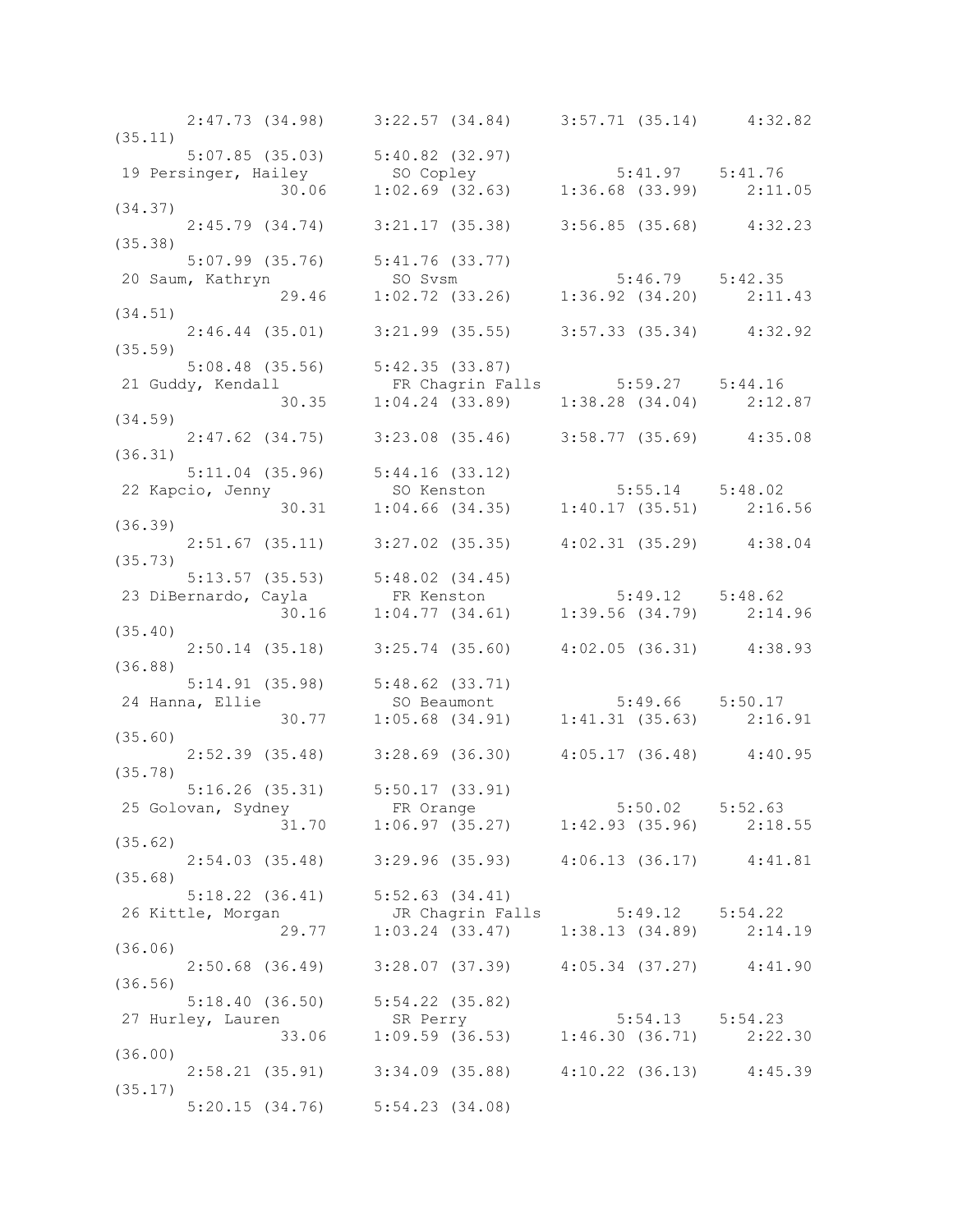|         |                 | $2:47.73$ (34.98) $3:22.57$ (34.84) $3:57.71$ (35.14) $4:32.82$                                                                 |                     |  |
|---------|-----------------|---------------------------------------------------------------------------------------------------------------------------------|---------------------|--|
| (35.11) |                 | $5:07.85$ (35.03) $5:40.82$ (32.97)                                                                                             |                     |  |
|         |                 |                                                                                                                                 |                     |  |
|         |                 | 19 Persinger, Hailey 5:41.97 5:41.76<br>30.06 1:02.69 (32.63) 1:36.68 (33.99) 2:11.05                                           |                     |  |
| (34.37) |                 |                                                                                                                                 |                     |  |
|         |                 | $2:45.79$ (34.74) $3:21.17$ (35.38) $3:56.85$ (35.68) $4:32.23$                                                                 |                     |  |
| (35.38) |                 |                                                                                                                                 |                     |  |
|         |                 | 5:07.99 (35.76) 5:41.76 (33.77)                                                                                                 |                     |  |
|         |                 |                                                                                                                                 |                     |  |
|         |                 | 5:07.99 (35.76) 5:41.76 (33.777)<br>20 Saum, Kathryn so Svsm 5:46.79 5:42.35<br>29.46 1:02.72 (33.26) 1:36.92 (34.20) 2:11.43   |                     |  |
| (34.51) |                 |                                                                                                                                 |                     |  |
|         |                 | $2:46.44$ (35.01) 3:21.99 (35.55) 3:57.33 (35.34) 4:32.92                                                                       |                     |  |
| (35.59) |                 |                                                                                                                                 |                     |  |
|         |                 | 5:08.48 (35.56) 5:42.35 (33.87)                                                                                                 |                     |  |
|         |                 |                                                                                                                                 |                     |  |
|         |                 | 21 Guddy, Kendall FR Chagrin Falls 5:59.27 5:44.16<br>30.35 1:04.24 (33.89) 1:38.28 (34.04) 2:12.87                             |                     |  |
| (34.59) |                 |                                                                                                                                 |                     |  |
|         |                 | $2:47.62$ (34.75) $3:23.08$ (35.46) $3:58.77$ (35.69) $4:35.08$                                                                 |                     |  |
| (36.31) |                 |                                                                                                                                 |                     |  |
|         |                 | $5:11.04$ (35.96) $5:44.16$ (33.12)                                                                                             |                     |  |
|         |                 | 5:11.04 (35.96) 5:44.16 (33.12)<br>22 Kapcio, Jenny so Kenston 5:55.14 5:48.02<br>30.31 1:04.66 (34.35) 1:40.17 (35.51) 2:16.56 |                     |  |
|         |                 |                                                                                                                                 |                     |  |
| (36.39) |                 |                                                                                                                                 |                     |  |
|         |                 | $2:51.67$ (35.11) $3:27.02$ (35.35) $4:02.31$ (35.29) $4:38.04$                                                                 |                     |  |
| (35.73) |                 |                                                                                                                                 |                     |  |
|         |                 | $5:13.57$ (35.53) $5:48.02$ (34.45)                                                                                             |                     |  |
|         |                 |                                                                                                                                 |                     |  |
|         |                 | 31 DiBernardo, Cayla (34.45)<br>30.16 1:04.77 (34.61) 1:39.56 (34.79) 2:14.96<br>35.40)                                         |                     |  |
|         |                 |                                                                                                                                 |                     |  |
|         |                 | $2:50.14$ (35.18) $3:25.74$ (35.60) $4:02.05$ (36.31) $4:38.93$                                                                 |                     |  |
| (36.88) |                 |                                                                                                                                 |                     |  |
|         |                 |                                                                                                                                 |                     |  |
|         | 24 Hanna, Ellie | 5:14.91 (35.98) 5:48.62 (33.71)<br>24 Hanna, Ellie SO Beaumont 5:49.66 5:50.17<br>30.77 1:05.68 (34.91) 1:41.31 (35.63) 2:16.91 |                     |  |
|         |                 |                                                                                                                                 |                     |  |
| (35.60) |                 |                                                                                                                                 |                     |  |
| (35.78) |                 | $2:52.39$ (35.48) $3:28.69$ (36.30) $4:05.17$ (36.48) $4:40.95$                                                                 |                     |  |
|         |                 | 5:16.26 (35.31) 5:50.17 (33.91)                                                                                                 |                     |  |
|         |                 |                                                                                                                                 | $5:50.02$ $5:52.63$ |  |
|         |                 | 25 Golovan, Sydney FR Orange 5:50.02 5:52.63<br>31.70 1:06.97 (35.27) 1:42.93 (35.96) 2:18.55                                   |                     |  |
| (35.62) |                 |                                                                                                                                 |                     |  |
|         |                 | 2:54.03 (35.48) 3:29.96 (35.93) 4:06.13 (36.17) 4:41.81                                                                         |                     |  |
| (35.68) |                 |                                                                                                                                 |                     |  |
|         |                 | 5:18.22 (36.41) 5:52.63 (34.41)                                                                                                 |                     |  |
|         |                 | 26 Kittle, Morgan 1:03.24 (33.47) 1:38.13 (34.89) 2:14.19                                                                       |                     |  |
|         |                 |                                                                                                                                 |                     |  |
| (36.06) |                 |                                                                                                                                 |                     |  |
|         |                 | 2:50.68 (36.49) 3:28.07 (37.39) 4:05.34 (37.27) 4:41.90                                                                         |                     |  |
| (36.56) |                 |                                                                                                                                 |                     |  |
|         |                 | $5:18.40$ (36.50) $5:54.22$ (35.82)                                                                                             |                     |  |
|         |                 |                                                                                                                                 |                     |  |
|         |                 | 27 Hurley, Lauren SR Perry 5:54.13 5:54.23<br>33.06 1:09.59 (36.53) 1:46.30 (36.71) 2:22.30                                     |                     |  |
| (36.00) |                 |                                                                                                                                 |                     |  |
|         |                 | 2:58.21 (35.91) 3:34.09 (35.88) 4:10.22 (36.13) 4:45.39                                                                         |                     |  |
| (35.17) |                 |                                                                                                                                 |                     |  |
|         |                 | $5:20.15$ (34.76) $5:54.23$ (34.08)                                                                                             |                     |  |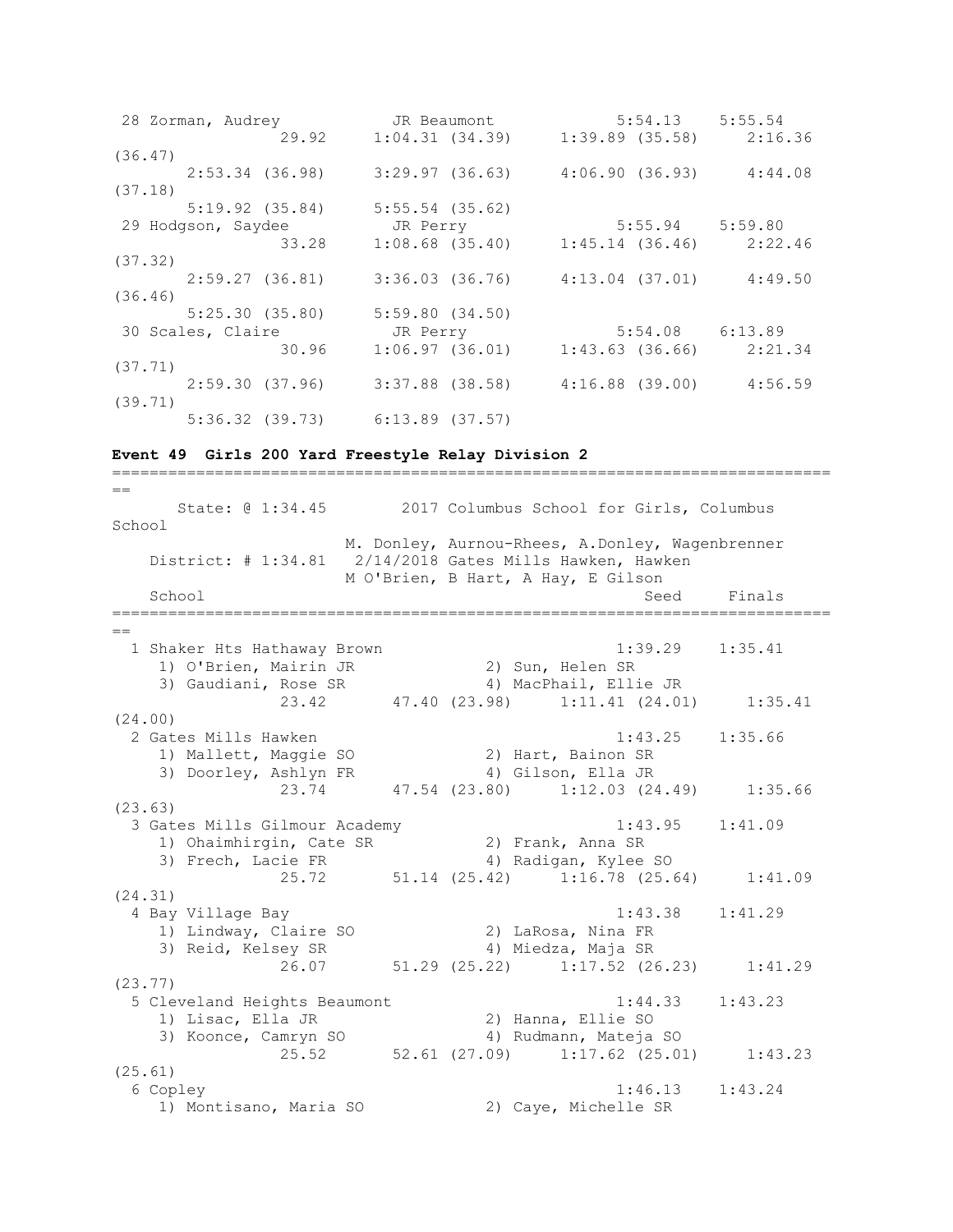28 Zorman, Audrey JR Beaumont 5:54.13 5:55.54 29.92 1:04.31 (34.39) 1:39.89 (35.58) 2:16.36 (36.47) 2:53.34 (36.98) 3:29.97 (36.63) 4:06.90 (36.93) 4:44.08 (37.18) 5:19.92 (35.84) 5:55.54 (35.62) 29 Hodgson, Saydee JR Perry 5:55.94 5:59.80 33.28 1:08.68 (35.40) 1:45.14 (36.46) 2:22.46 (37.32) 2:59.27 (36.81) 3:36.03 (36.76) 4:13.04 (37.01) 4:49.50  $(36.46)$ <br>5:25.30  $(35.80)$  5:25.30 (35.80) 5:59.80 (34.50) 30 Scales, Claire JR Perry 5:54.08 6:13.89 30.96 1:06.97 (36.01) 1:43.63 (36.66) 2:21.34 (37.71) 2:59.30 (37.96) 3:37.88 (38.58) 4:16.88 (39.00) 4:56.59 (39.71) 5:36.32 (39.73) 6:13.89 (37.57)

=============================================================================

### **Event 49 Girls 200 Yard Freestyle Relay Division 2**

== State: @ 1:34.45 2017 Columbus School for Girls, Columbus School M. Donley, Aurnou-Rhees, A.Donley, Wagenbrenner District: # 1:34.81 2/14/2018 Gates Mills Hawken, Hawken M O'Brien, B Hart, A Hay, E Gilson School Seed Finals =============================================================================  $=$  1 Shaker Hts Hathaway Brown 1:39.29 1:35.41 1) O'Brien, Mairin JR 2) Sun, Helen SR 3) Gaudiani, Rose SR 4) MacPhail, Ellie JR 23.42 47.40 (23.98) 1:11.41 (24.01) 1:35.41 (24.00) 2 Gates Mills Hawken 1:43.25 1:35.66 1) Mallett, Maggie SO 2) Hart, Bainon SR 3) Doorley, Ashlyn FR 4) Gilson, Ella JR 23.74 47.54 (23.80) 1:12.03 (24.49) 1:35.66 (23.63) 3 Gates Mills Gilmour Academy 1:43.95 1:41.09 1) Ohaimhirgin, Cate SR 2) Frank, Anna SR 3) Frech, Lacie FR 4) Radigan, Kylee SO 25.72 51.14 (25.42) 1:16.78 (25.64) 1:41.09 (24.31) 4 Bay Village Bay 1:43.38 1:41.29 1) Lindway, Claire SO 2) LaRosa, Nina FR 3) Reid, Kelsey SR 4) Miedza, Maja SR 26.07 51.29 (25.22) 1:17.52 (26.23) 1:41.29 (23.77) 5 Cleveland Heights Beaumont 1:44.33 1:43.23 1) Lisac, Ella JR 2) Hanna, Ellie SO 3) Koonce, Camryn SO 4) Rudmann, Mateja SO 25.52 52.61 (27.09) 1:17.62 (25.01) 1:43.23 (25.61) 6 Copley 1:46.13 1:43.24 1) Montisano, Maria SO 2) Caye, Michelle SR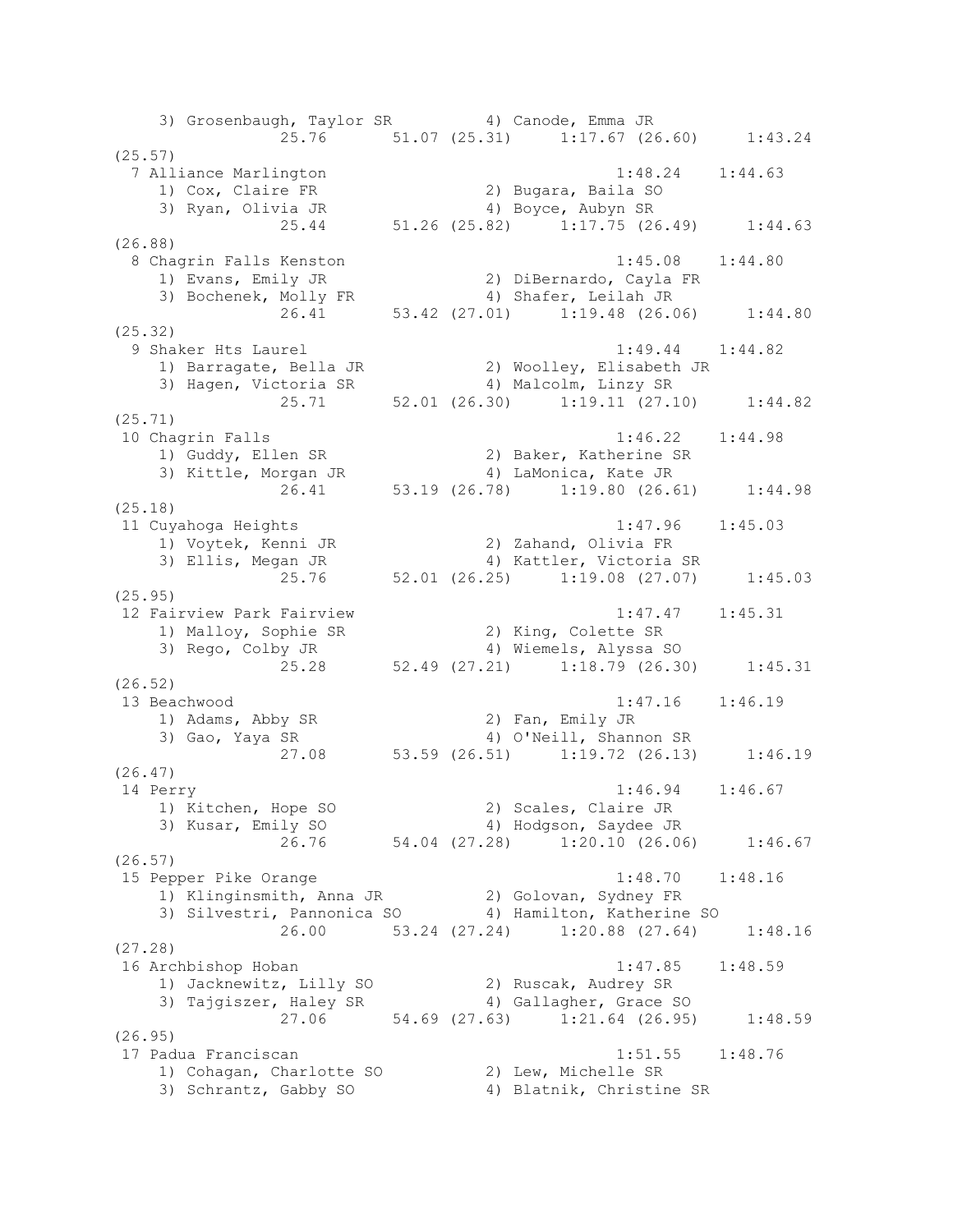3) Grosenbaugh, Taylor SR 4) Canode, Emma JR 25.76 51.07 (25.31) 1:17.67 (26.60) 1:43.24 (25.57) 7 Alliance Marlington 1:48.24 1:44.63 1) Cox, Claire FR 2) Bugara, Baila SO 3) Ryan, Olivia JR 4) Boyce, Aubyn SR 25.44 51.26 (25.82) 1:17.75 (26.49) 1:44.63 (26.88) 8 Chagrin Falls Kenston 1:45.08 1:44.80 1) Evans, Emily JR 2) DiBernardo, Cayla FR 3) Bochenek, Molly FR 4) Shafer, Leilah JR 26.41 53.42 (27.01) 1:19.48 (26.06) 1:44.80 (25.32) 9 Shaker Hts Laurel 1:49.44 1:49.82 1) Barragate, Bella JR 2) Woolley, Elisabeth JR 3) Hagen, Victoria SR 4) Malcolm, Linzy SR 25.71 52.01 (26.30) 1:19.11 (27.10) 1:44.82 (25.71) 10 Chagrin Falls 1:46.22 1:44.98 1) Guddy, Ellen SR 2) Baker, Katherine SR 3) Kittle, Morgan JR 4) LaMonica, Kate JR 26.41 53.19 (26.78) 1:19.80 (26.61) 1:44.98 (25.18) 11 Cuyahoga Heights 1:47.96 1:45.03 1) Voytek, Kenni JR 2) Zahand, Olivia FR 3) Ellis, Megan JR 4) Kattler, Victoria SR 25.76 52.01 (26.25) 1:19.08 (27.07) 1:45.03 (25.95) 12 Fairview Park Fairview 1:47.47 1:45.31 1) Malloy, Sophie SR 2) King, Colette SR 3) Rego, Colby JR 4) Wiemels, Alyssa SO 25.28 52.49 (27.21) 1:18.79 (26.30) 1:45.31 (26.52) 13 Beachwood 1:47.16 1:46.19 1) Adams, Abby SR 2) Fan, Emily JR 3) Gao, Yaya SR 4) O'Neill, Shannon SR 27.08 53.59 (26.51) 1:19.72 (26.13) 1:46.19 (26.47) 14 Perry 1:46.94 1:46.67 1) Kitchen, Hope SO 2) Scales, Claire JR 3) Kusar, Emily SO 4) Hodgson, Saydee JR 26.76 54.04 (27.28) 1:20.10 (26.06) 1:46.67 (26.57) 15 Pepper Pike Orange 1:48.70 1:48.16 1) Klinginsmith, Anna JR 2) Golovan, Sydney FR 3) Silvestri, Pannonica SO 4) Hamilton, Katherine SO 26.00 53.24 (27.24) 1:20.88 (27.64) 1:48.16 (27.28) 16 Archbishop Hoban 1:47.85 1:48.59 1) Jacknewitz, Lilly SO 2) Ruscak, Audrey SR 3) Tajgiszer, Haley SR 4) Gallagher, Grace SO 27.06 54.69 (27.63) 1:21.64 (26.95) 1:48.59 (26.95) 17 Padua Franciscan 1:51.55 1:48.76 1) Cohagan, Charlotte SO 2) Lew, Michelle SR 3) Schrantz, Gabby SO 4) Blatnik, Christine SR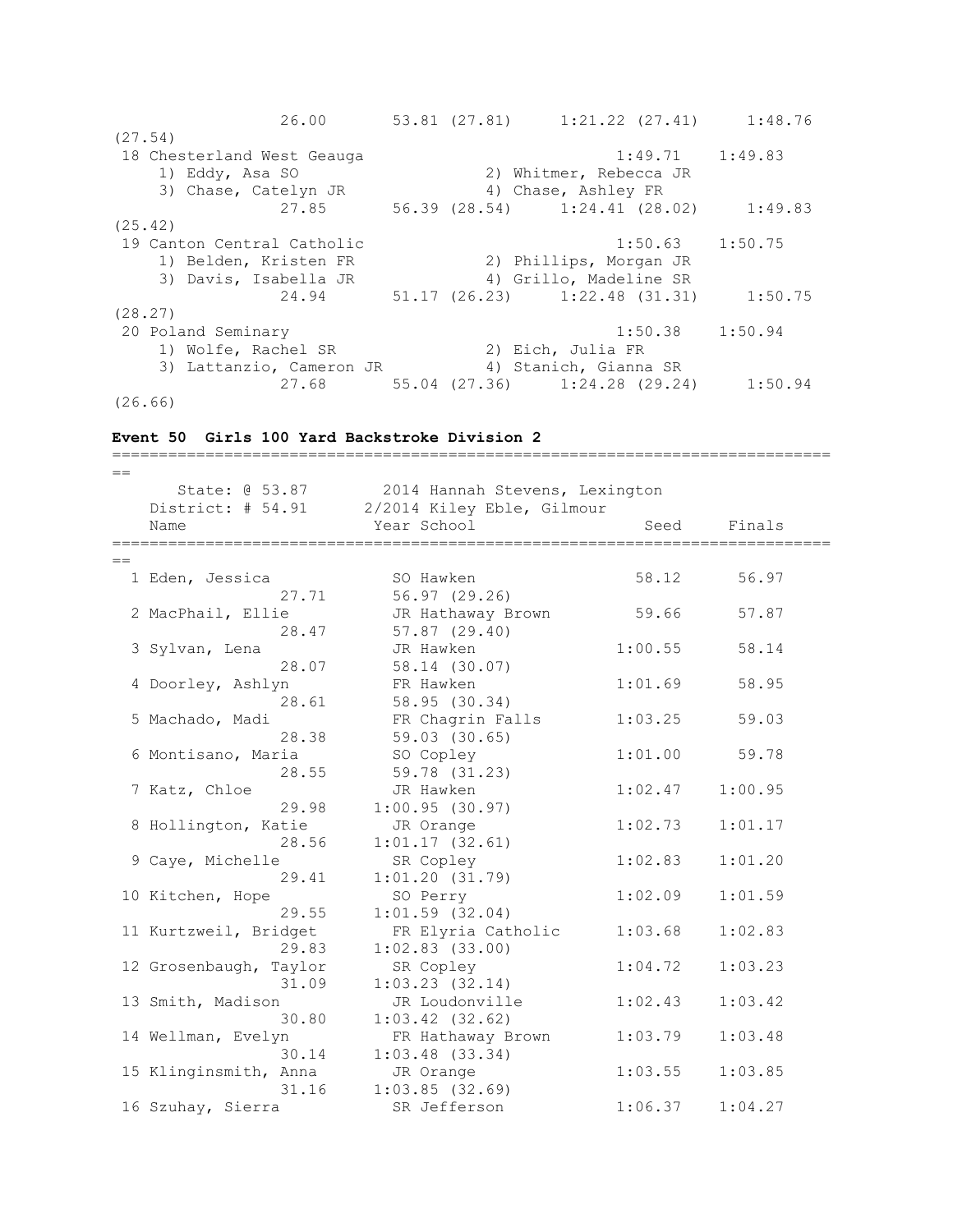26.00 53.81 (27.81) 1:21.22 (27.41) 1:48.76 (27.54) erection of the Secure 2018 of the Security 1:49.71 1:49.83 1) Eddy, Asa SO 2) Whitmer, Rebecca JR 3) Chase, Catelyn JR 4) Chase, Ashley FR 27.85 56.39 (28.54) 1:24.41 (28.02) 1:49.83 (25.42) 19 Canton Central Catholic 1:50.63 1:50.75 1) Belden, Kristen FR 2) Phillips, Morgan JR 3) Davis, Isabella JR 4) Grillo, Madeline SR 24.94 51.17 (26.23) 1:22.48 (31.31) 1:50.75 (28.27) 20 Poland Seminary 1:50.38 1:50.94 1) Wolfe, Rachel SR 2) Eich, Julia FR 3) Lattanzio, Cameron JR 4) Stanich, Gianna SR 27.68 55.04 (27.36) 1:24.28 (29.24) 1:50.94 (26.66)

## **Event 50 Girls 100 Yard Backstroke Division 2**

============================================================================= == State: @ 53.87 2014 Hannah Stevens, Lexington District: # 54.91 2/2014 Kiley Eble, Gilmour Name Seed Finals (Name Seed Finals ============================================================================= == 1 Eden, Jessica SO Hawken 58.12 56.97 27.71 56.97 (29.26) 2 MacPhail, Ellie JR Hathaway Brown 59.66 57.87 28.47 57.87 (29.40) 3 Sylvan, Lena JR Hawken 1:00.55 58.14 28.07 58.14 (30.07) 4 Doorley, Ashlyn FR Hawken 1:01.69 58.95 28.61 58.95 (30.34) 5 Machado, Madi FR Chagrin Falls 1:03.25 59.03 28.38 59.03 (30.65) 6 Montisano, Maria SO Copley 1:01.00 59.78 28.55 59.78 (31.23) 7 Katz, Chloe JR Hawken 1:02.47 1:00.95 29.98 1:00.95 (30.97) 8 Hollington, Katie JR Orange 1:02.73 1:01.17 28.56 1:01.17 (32.61) 9 Caye, Michelle SR Copley 1:02.83 1:01.20 29.41 1:01.20 (31.79) 10 Kitchen, Hope SO Perry 1:02.09 1:01.59 29.55 1:01.59 (32.04) 11 Kurtzweil, Bridget FR Elyria Catholic 1:03.68 1:02.83 29.83 1:02.83 (33.00) 12 Grosenbaugh, Taylor SR Copley 1:04.72 1:03.23 31.09 1:03.23 (32.14) 13 Smith, Madison JR Loudonville 1:02.43 1:03.42 30.80 1:03.42 (32.62) 14 Wellman, Evelyn FR Hathaway Brown 1:03.79 1:03.48 30.14 1:03.48 (33.34) 15 Klinginsmith, Anna JR Orange 1:03.55 1:03.85 31.16 1:03.85 (32.69) 16 Szuhay, Sierra SR Jefferson 1:06.37 1:04.27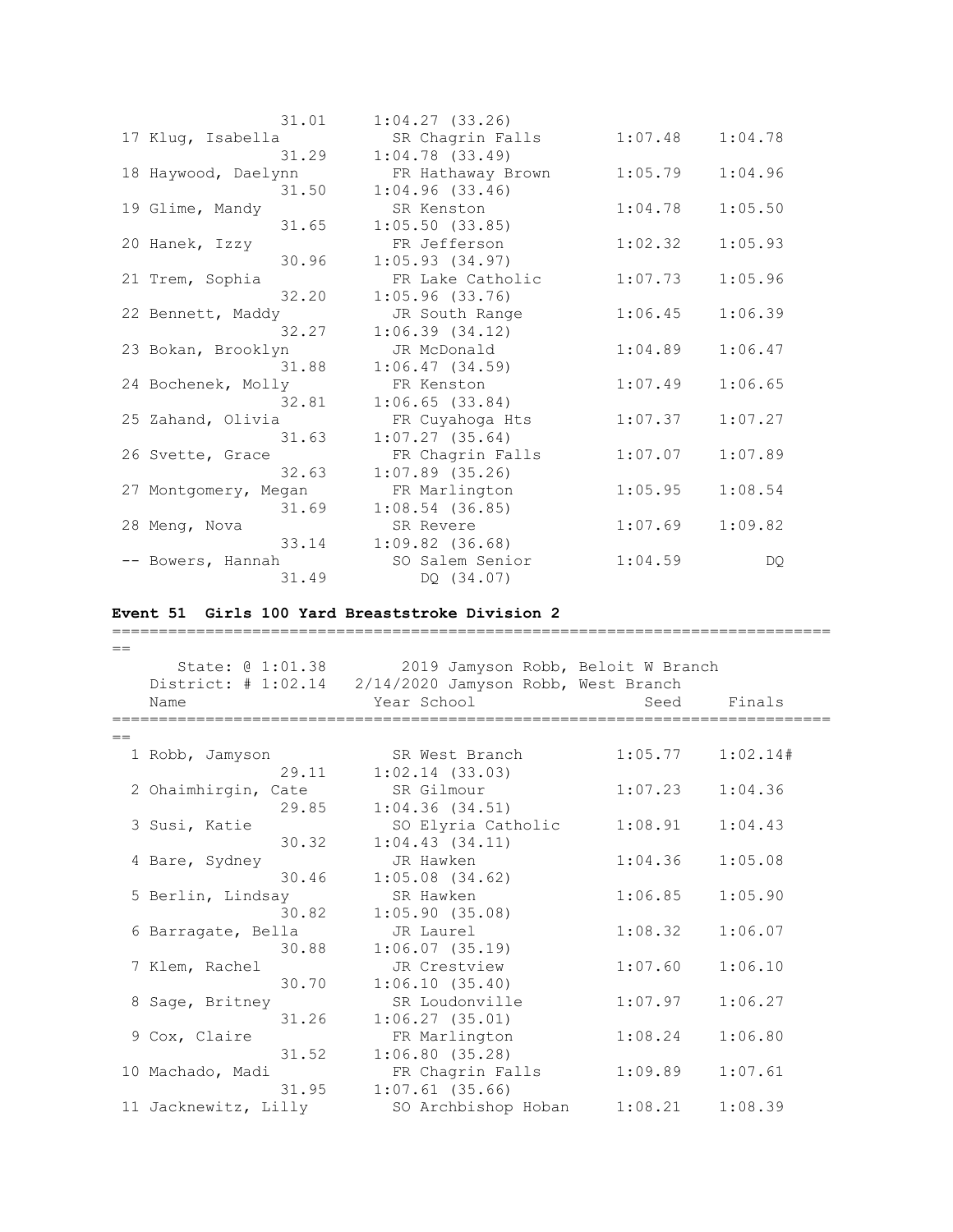| 31.01                | 1:04.27(33.26)    |         |         |
|----------------------|-------------------|---------|---------|
| 17 Kluq, Isabella    | SR Chagrin Falls  | 1:07.48 | 1:04.78 |
| 31.29                | $1:04.78$ (33.49) |         |         |
| 18 Haywood, Daelynn  | FR Hathaway Brown | 1:05.79 | 1:04.96 |
| 31.50                | 1:04.96(33.46)    |         |         |
| 19 Glime, Mandy      | SR Kenston        | 1:04.78 | 1:05.50 |
| 31.65                | 1:05.50(33.85)    |         |         |
| 20 Hanek, Izzy       | FR Jefferson      | 1:02.32 | 1:05.93 |
| 30.96                | 1:05.93(34.97)    |         |         |
| 21 Trem, Sophia      | FR Lake Catholic  | 1:07.73 | 1:05.96 |
| 32.20                | $1:05.96$ (33.76) |         |         |
| 22 Bennett, Maddy    | JR South Range    | 1:06.45 | 1:06.39 |
| 32.27                | 1:06.39(34.12)    |         |         |
| 23 Bokan, Brooklyn   | JR McDonald       | 1:04.89 | 1:06.47 |
| 31.88                | 1:06.47(34.59)    |         |         |
| 24 Bochenek, Molly   | FR Kenston        | 1:07.49 | 1:06.65 |
| 32.81                | 1:06.65(33.84)    |         |         |
| 25 Zahand, Olivia    | FR Cuyahoga Hts   | 1:07.37 | 1:07.27 |
| 31.63                | $1:07.27$ (35.64) |         |         |
| 26 Svette, Grace     | FR Chagrin Falls  | 1:07.07 | 1:07.89 |
| 32.63                | $1:07.89$ (35.26) |         |         |
| 27 Montgomery, Megan | FR Marlington     | 1:05.95 | 1:08.54 |
| 31.69                | $1:08.54$ (36.85) |         |         |
| 28 Meng, Nova        | SR Revere         | 1:07.69 | 1:09.82 |
| 33.14                | $1:09.82$ (36.68) |         |         |
| -- Bowers, Hannah    | SO Salem Senior   | 1:04.59 | DQ.     |
| 31.49                | DQ (34.07)        |         |         |

# **Event 51 Girls 100 Yard Breaststroke Division 2**

| $==$ |                      |                                                         |         |          |
|------|----------------------|---------------------------------------------------------|---------|----------|
|      |                      | State: @ 1:01.38 2019 Jamyson Robb, Beloit W Branch     |         |          |
|      |                      | District: # 1:02.14 2/14/2020 Jamyson Robb, West Branch |         |          |
|      | Name                 | Year School                                             | Seed    | Finals   |
|      |                      |                                                         |         |          |
| $=$  |                      |                                                         |         |          |
|      | 1 Robb, Jamyson      | SR West Branch                                          | 1:05.77 | 1:02.14# |
|      | 29.11                | $1:02.14$ $(33.03)$                                     |         |          |
|      | 2 Ohaimhirgin, Cate  | SR Gilmour                                              | 1:07.23 | 1:04.36  |
|      | 29.85                | 1:04.36(34.51)                                          |         |          |
|      | 3 Susi, Katie        | SO Elyria Catholic                                      | 1:08.91 | 1:04.43  |
|      | 30.32                | 1:04.43(34.11)                                          |         |          |
|      | 4 Bare, Sydney       | JR Hawken                                               | 1:04.36 | 1:05.08  |
|      | 30.46                | $1:05.08$ $(34.62)$                                     |         |          |
|      | 5 Berlin, Lindsay    | SR Hawken                                               | 1:06.85 | 1:05.90  |
|      | 30.82                | 1:05.90(35.08)                                          |         |          |
|      | 6 Barragate, Bella   | JR Laurel                                               | 1:08.32 | 1:06.07  |
|      | 30.88                | 1:06.07(35.19)                                          |         |          |
|      | 7 Klem, Rachel       | JR Crestview                                            | 1:07.60 | 1:06.10  |
|      | 30.70                | 1:06.10(35.40)                                          |         |          |
|      | 8 Sage, Britney      | SR Loudonville                                          | 1:07.97 | 1:06.27  |
|      | 31.26                | 1:06.27(35.01)                                          |         |          |
|      | 9 Cox, Claire        | FR Marlington                                           | 1:08.24 | 1:06.80  |
|      | 31.52                | 1:06.80(35.28)                                          |         |          |
|      | 10 Machado, Madi     | FR Chagrin Falls                                        | 1:09.89 | 1:07.61  |
|      | 31.95                | $1:07.61$ (35.66)                                       |         |          |
|      | 11 Jacknewitz, Lilly | SO Archbishop Hoban                                     | 1:08.21 | 1:08.39  |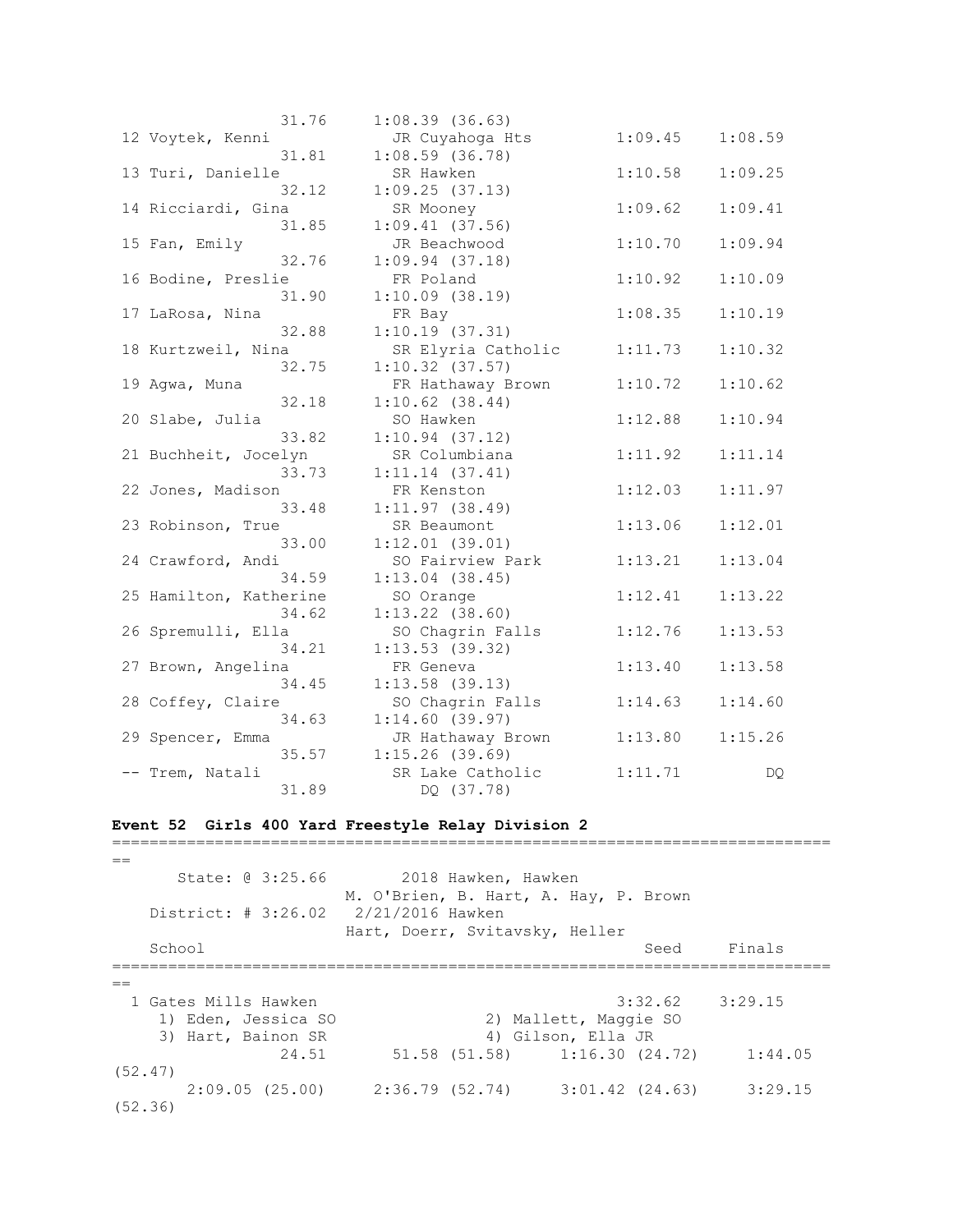| 31.76                  | 1:08.39(36.63)      |         |         |
|------------------------|---------------------|---------|---------|
| 12 Voytek, Kenni       | JR Cuyahoga Hts     | 1:09.45 | 1:08.59 |
| 31.81                  | $1:08.59$ (36.78)   |         |         |
| 13 Turi, Danielle      | SR Hawken           | 1:10.58 | 1:09.25 |
| 32.12                  | 1:09.25(37.13)      |         |         |
| 14 Ricciardi, Gina     | SR Mooney           | 1:09.62 | 1:09.41 |
| 31.85                  | $1:09.41$ (37.56)   |         |         |
| 15 Fan, Emily          | JR Beachwood        | 1:10.70 | 1:09.94 |
| 32.76                  | $1:09.94$ $(37.18)$ |         |         |
| 16 Bodine, Preslie     | FR Poland           | 1:10.92 | 1:10.09 |
| 31.90                  | 1:10.09(38.19)      |         |         |
| 17 LaRosa, Nina        | FR Bay              | 1:08.35 | 1:10.19 |
| 32.88                  | 1:10.19(37.31)      |         |         |
| 18 Kurtzweil, Nina     | SR Elyria Catholic  | 1:11.73 | 1:10.32 |
| 32.75                  | $1:10.32$ $(37.57)$ |         |         |
| 19 Agwa, Muna          | FR Hathaway Brown   | 1:10.72 | 1:10.62 |
| 32.18                  | $1:10.62$ $(38.44)$ |         |         |
| 20 Slabe, Julia        | SO Hawken           | 1:12.88 | 1:10.94 |
| 33.82                  | 1:10.94(37.12)      |         |         |
| 21 Buchheit, Jocelyn   | SR Columbiana       | 1:11.92 | 1:11.14 |
| 33.73                  | 1:11.14(37.41)      |         |         |
| 22 Jones, Madison      | FR Kenston          | 1:12.03 | 1:11.97 |
| 33.48                  | 1:11.97(38.49)      |         |         |
| 23 Robinson, True      | SR Beaumont         | 1:13.06 | 1:12.01 |
| 33.00                  | $1:12.01$ (39.01)   |         |         |
| 24 Crawford, Andi      | SO Fairview Park    | 1:13.21 | 1:13.04 |
| 34.59                  | $1:13.04$ (38.45)   |         |         |
| 25 Hamilton, Katherine | SO Orange           | 1:12.41 | 1:13.22 |
| 34.62                  | $1:13.22$ $(38.60)$ |         |         |
| 26 Spremulli, Ella     | SO Chagrin Falls    | 1:12.76 | 1:13.53 |
| 34.21                  | 1:13.53(39.32)      |         |         |
| 27 Brown, Angelina     | FR Geneva           | 1:13.40 | 1:13.58 |
| 34.45                  | $1:13.58$ (39.13)   |         |         |
| 28 Coffey, Claire      | SO Chagrin Falls    | 1:14.63 | 1:14.60 |
| 34.63                  | 1:14.60(39.97)      |         |         |
| 29 Spencer, Emma       | JR Hathaway Brown   | 1:13.80 | 1:15.26 |
| 35.57                  | 1:15.26(39.69)      |         |         |
| -- Trem, Natali        | SR Lake Catholic    | 1:11.71 | DQ.     |
| 31.89                  | DQ (37.78)          |         |         |

# **Event 52 Girls 400 Yard Freestyle Relay Division 2**

| State: 0 3:25.66                          |                                                    | 2018 Hawken, Hawken |                                             |                     |
|-------------------------------------------|----------------------------------------------------|---------------------|---------------------------------------------|---------------------|
| District: # 3:26.02                       | 2/21/2016 Hawken<br>Hart, Doerr, Svitavsky, Heller |                     | M. O'Brien, B. Hart, A. Hay, P. Brown       |                     |
| School                                    |                                                    |                     | Seed                                        | Finals              |
|                                           |                                                    |                     |                                             |                     |
| 1 Gates Mills Hawken                      |                                                    |                     |                                             | $3:32.62$ $3:29.15$ |
| 1) Eden, Jessica SO<br>3) Hart, Bainon SR |                                                    |                     | 2) Mallett, Maggie SO<br>4) Gilson, Ella JR |                     |
| 24.51                                     |                                                    |                     | 51.58 (51.58) 1:16.30 (24.72)               | 1:44.05             |
| (52.47)                                   |                                                    |                     |                                             |                     |
| 2:09.05(25.00)<br>(52, 36)                |                                                    |                     | 2:36.79 (52.74) 3:01.42 (24.63)             | 3:29.15             |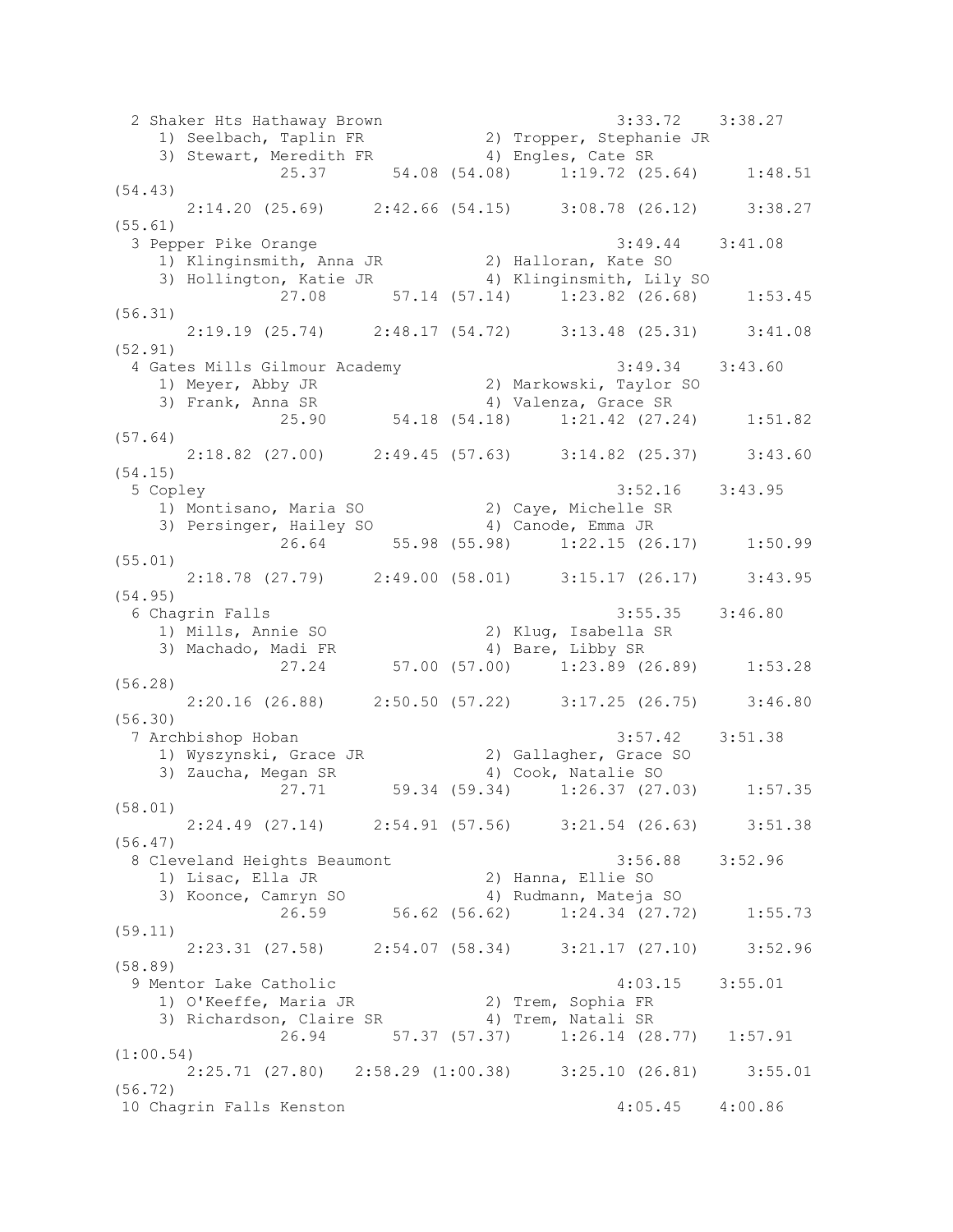2 Shaker Hts Hathaway Brown 3:33.72 3:38.27 1) Seelbach, Taplin FR 2) Tropper, Stephanie JR 3) Stewart, Meredith FR 4) Engles, Cate SR 25.37 54.08 (54.08) 1:19.72 (25.64) 1:48.51 (54.43) 2:14.20 (25.69) 2:42.66 (54.15) 3:08.78 (26.12) 3:38.27 (55.61) 3 Pepper Pike Orange 3:49.44 3:41.08 1) Klinginsmith, Anna JR 2) Halloran, Kate SO 3) Hollington, Katie JR 4) Klinginsmith, Lily SO 27.08 57.14 (57.14) 1:23.82 (26.68) 1:53.45 (56.31) 2:19.19 (25.74) 2:48.17 (54.72) 3:13.48 (25.31) 3:41.08 (52.91) 4 Gates Mills Gilmour Academy 3:49.34 3:43.60 1) Meyer, Abby JR 2) Markowski, Taylor SO 3) Frank, Anna SR 4) Valenza, Grace SR 25.90 54.18 (54.18) 1:21.42 (27.24) 1:51.82 (57.64) 2:18.82 (27.00) 2:49.45 (57.63) 3:14.82 (25.37) 3:43.60 (54.15) 5 Copley 3:52.16 3:43.95 1) Montisano, Maria SO 2) Caye, Michelle SR 3) Persinger, Hailey SO 4) Canode, Emma JR 26.64 55.98 (55.98) 1:22.15 (26.17) 1:50.99 (55.01) 2:18.78 (27.79) 2:49.00 (58.01) 3:15.17 (26.17) 3:43.95 (54.95) 6 Chagrin Falls 3:55.35 3:46.80 1) Mills, Annie SO 2) Klug, Isabella SR 3) Machado, Madi FR 4) Bare, Libby SR 27.24 57.00 (57.00) 1:23.89 (26.89) 1:53.28 (56.28) 2:20.16 (26.88) 2:50.50 (57.22) 3:17.25 (26.75) 3:46.80 (56.30) 7 Archbishop Hoban 3:57.42 3:51.38 1) Wyszynski, Grace JR 2) Gallagher, Grace SO 3) Zaucha, Megan SR 4) Cook, Natalie SO 27.71 59.34 (59.34) 1:26.37 (27.03) 1:57.35 (58.01) 2:24.49 (27.14) 2:54.91 (57.56) 3:21.54 (26.63) 3:51.38 (56.47) 8 Cleveland Heights Beaumont 3:56.88 3:52.96 1) Lisac, Ella JR 2) Hanna, Ellie SO 3) Koonce, Camryn SO 4) Rudmann, Mateja SO 26.59 56.62 (56.62) 1:24.34 (27.72) 1:55.73 (59.11) 2:23.31 (27.58) 2:54.07 (58.34) 3:21.17 (27.10) 3:52.96 (58.89) 9 Mentor Lake Catholic 4:03.15 3:55.01 1) O'Keeffe, Maria JR 2) Trem, Sophia FR 3) Richardson, Claire SR 4) Trem, Natali SR 26.94 57.37 (57.37) 1:26.14 (28.77) 1:57.91 (1:00.54) 2:25.71 (27.80) 2:58.29 (1:00.38) 3:25.10 (26.81) 3:55.01 (56.72) 10 Chagrin Falls Kenston 4:05.45 4:00.86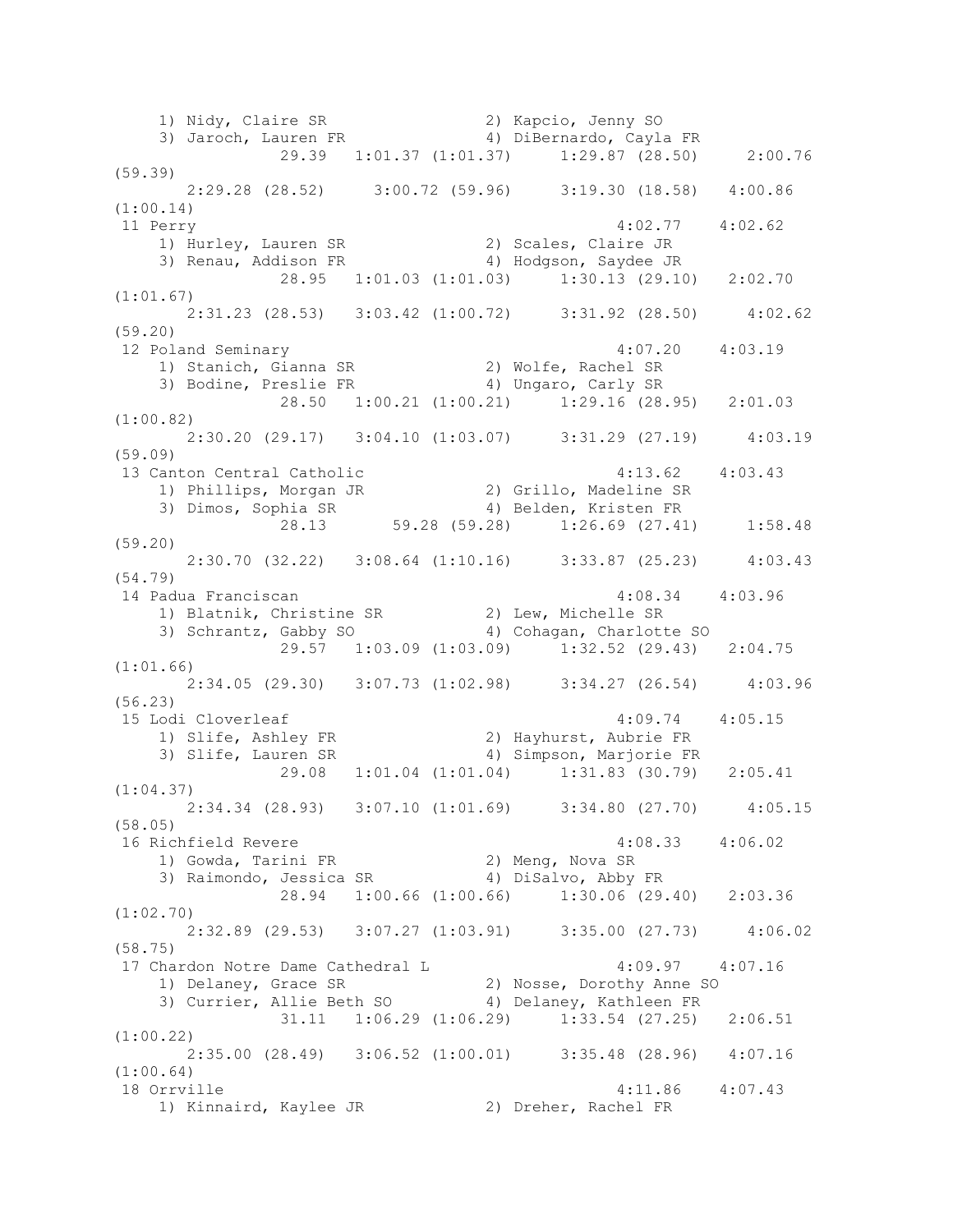1) Nidy, Claire SR 2) Kapcio, Jenny SO 3) Jaroch, Lauren FR 4) DiBernardo, Cayla FR 29.39 1:01.37 (1:01.37) 1:29.87 (28.50) 2:00.76 (59.39) 2:29.28 (28.52) 3:00.72 (59.96) 3:19.30 (18.58) 4:00.86 (1:00.14) 11 Perry 4:02.77 4:02.62 1) Hurley, Lauren SR 2) Scales, Claire JR 3) Renau, Addison FR 4) Hodgson, Saydee JR 28.95 1:01.03 (1:01.03) 1:30.13 (29.10) 2:02.70 (1:01.67) 2:31.23 (28.53) 3:03.42 (1:00.72) 3:31.92 (28.50) 4:02.62 (59.20) 12 Poland Seminary 4:07.20 4:03.19 1) Stanich, Gianna SR 2) Wolfe, Rachel SR 3) Bodine, Preslie FR 4) Ungaro, Carly SR 28.50 1:00.21 (1:00.21) 1:29.16 (28.95) 2:01.03 (1:00.82) 2:30.20 (29.17) 3:04.10 (1:03.07) 3:31.29 (27.19) 4:03.19 (59.09) 13 Canton Central Catholic 4:13.62 4:03.43 1) Phillips, Morgan JR 2) Grillo, Madeline SR 3) Dimos, Sophia SR 4) Belden, Kristen FR 28.13 59.28 (59.28) 1:26.69 (27.41) 1:58.48 (59.20) 2:30.70 (32.22) 3:08.64 (1:10.16) 3:33.87 (25.23) 4:03.43 (54.79) 14 Padua Franciscan 4:08.34 4:03.96 1) Blatnik, Christine SR 2) Lew, Michelle SR 3) Schrantz, Gabby SO 4) Cohagan, Charlotte SO 29.57 1:03.09 (1:03.09) 1:32.52 (29.43) 2:04.75 (1:01.66) 2:34.05 (29.30) 3:07.73 (1:02.98) 3:34.27 (26.54) 4:03.96 (56.23) 15 Lodi Cloverleaf 4:09.74 4:05.15 1) Slife, Ashley FR 2) Hayhurst, Aubrie FR 3) Slife, Lauren SR 4) Simpson, Marjorie FR 29.08 1:01.04 (1:01.04) 1:31.83 (30.79) 2:05.41 (1:04.37) 2:34.34 (28.93) 3:07.10 (1:01.69) 3:34.80 (27.70) 4:05.15 (58.05) 16 Richfield Revere 4:08.33 4:06.02<br>1) Gowda, Tarini FR 2) Meng, Nova SR<br>2) Reisers 1 1) Gowda, Tarini FR 2) Meng, Nova SR 3) Raimondo, Jessica SR 4) DiSalvo, Abby FR 28.94 1:00.66 (1:00.66) 1:30.06 (29.40) 2:03.36 (1:02.70) 2:32.89 (29.53) 3:07.27 (1:03.91) 3:35.00 (27.73) 4:06.02 (58.75) 17 Chardon Notre Dame Cathedral L 4:09.97 4:07.16 1) Delaney, Grace SR 2) Nosse, Dorothy Anne SO 3) Currier, Allie Beth SO 4) Delaney, Kathleen FR 31.11 1:06.29 (1:06.29) 1:33.54 (27.25) 2:06.51 (1:00.22) 2:35.00 (28.49) 3:06.52 (1:00.01) 3:35.48 (28.96) 4:07.16 (1:00.64) 18 Orrville 4:11.86 4:07.43 1) Kinnaird, Kaylee JR 2) Dreher, Rachel FR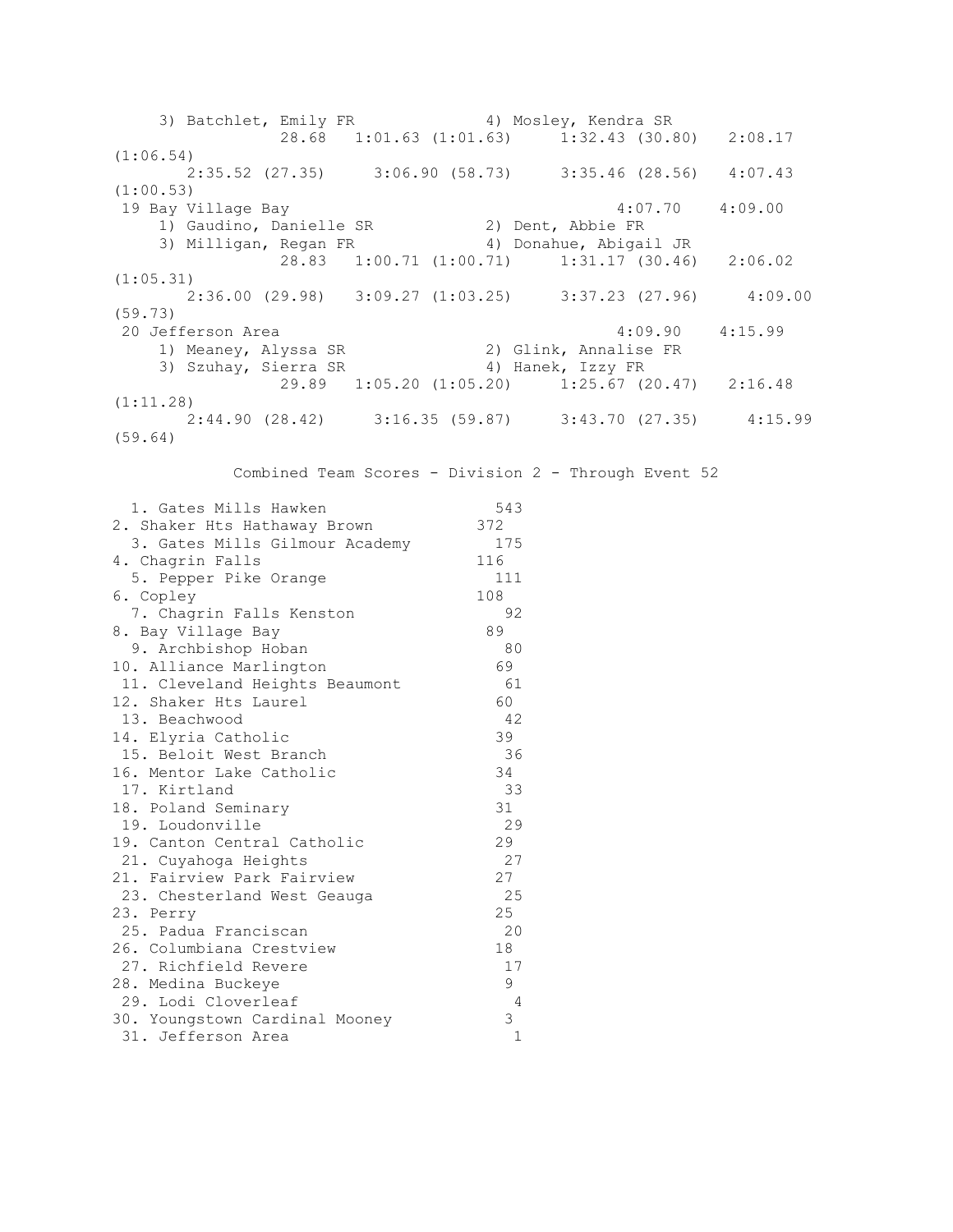3) Batchlet, Emily FR 4) Mosley, Kendra SR 28.68 1:01.63 (1:01.63) 1:32.43 (30.80) 2:08.17 (1:06.54) 2:35.52 (27.35) 3:06.90 (58.73) 3:35.46 (28.56) 4:07.43 (1:00.53) 19 Bay Village Bay 4:07.70 4:09.00 1) Gaudino, Danielle SR 2) Dent, Abbie FR 3) Milligan, Regan FR 4) Donahue, Abigail JR 28.83 1:00.71 (1:00.71) 1:31.17 (30.46) 2:06.02 (1:05.31) 2:36.00 (29.98) 3:09.27 (1:03.25) 3:37.23 (27.96) 4:09.00 (59.73) 20 Jefferson Area 4:09.90 4:15.99 1) Meaney, Alyssa SR 2) Glink, Annalise FR 3) Szuhay, Sierra SR 4) Hanek, Izzy FR 29.89 1:05.20 (1:05.20) 1:25.67 (20.47) 2:16.48 (1:11.28) 2:44.90 (28.42) 3:16.35 (59.87) 3:43.70 (27.35) 4:15.99 (59.64) Combined Team Scores - Division 2 - Through Event 52 1. Gates Mills Hawken 543 2. Shaker Hts Hathaway Brown 372 3. Gates Mills Gilmour Academy 175 4. Chagrin Falls 116 5. Pepper Pike Orange 111 6. Copley 108 7. Chagrin Falls Kenston 92 8. Bay Village Bay 69 9. Archbishop Hoban 80 10. Alliance Marlington 69 11. Cleveland Heights Beaumont 61 12. Shaker Hts Laurel 60 13. Beachwood 42 14. Elyria Catholic 39 15. Beloit West Branch 36 16. Mentor Lake Catholic 34 17. Kirtland 33 18. Poland Seminary 31 19. Loudonville 29 19. Canton Central Catholic 29<br>21. Cuyahoga Heights 27 21. Cuyahoga Heights 27 21. Fairview Park Fairview 27 23. Chesterland West Geauga 25 23. Perry 25 25. Padua Franciscan 20 26. Columbiana Crestview 18 27. Richfield Revere 17 28. Medina Buckeye 1991, 1992. Iodi Cloverleaf 9<br>1 - 29. Lodi Cloverleaf<br>30. Youngstown Cardinal Mooney 30. Youngstown Cardinal Mooney 3 31. Jefferson Area 1